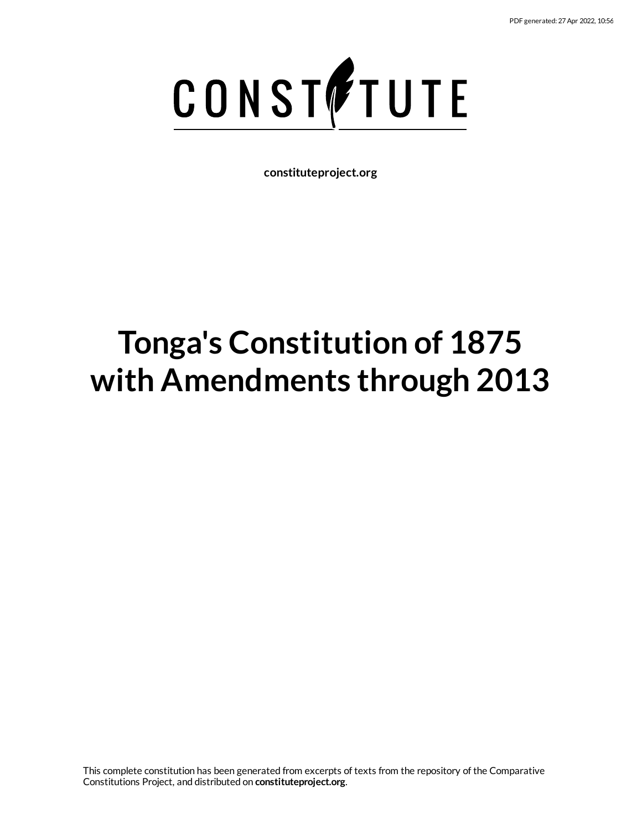

**constituteproject.org**

# **Tonga's Constitution of 1875 with Amendments through 2013**

This complete constitution has been generated from excerpts of texts from the repository of the Comparative Constitutions Project, and distributed on **constituteproject.org**.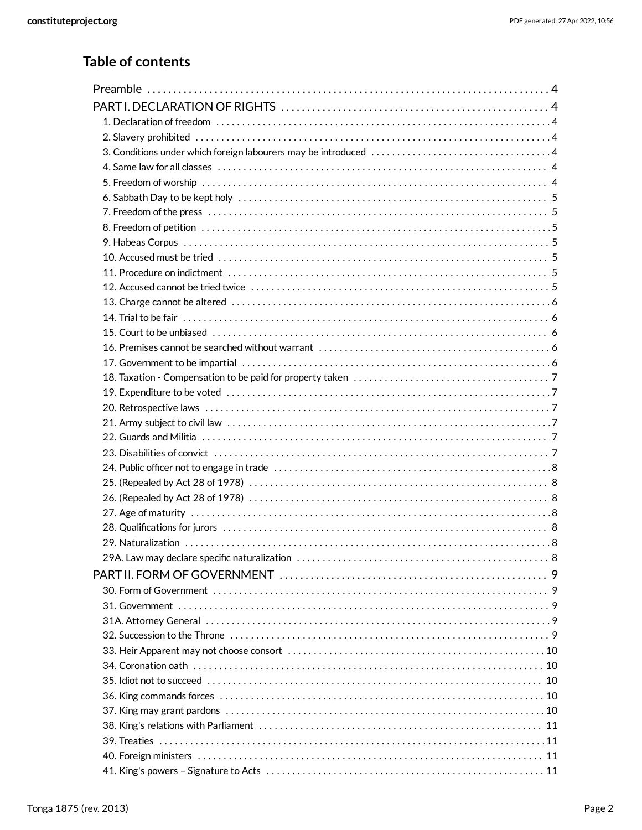# Table of contents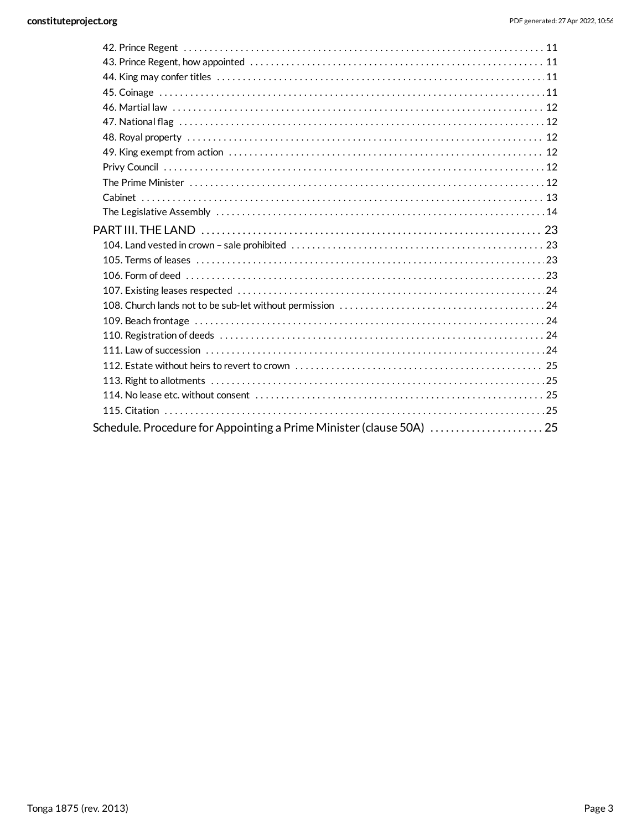| Schedule. Procedure for Appointing a Prime Minister (clause 50A) |  |
|------------------------------------------------------------------|--|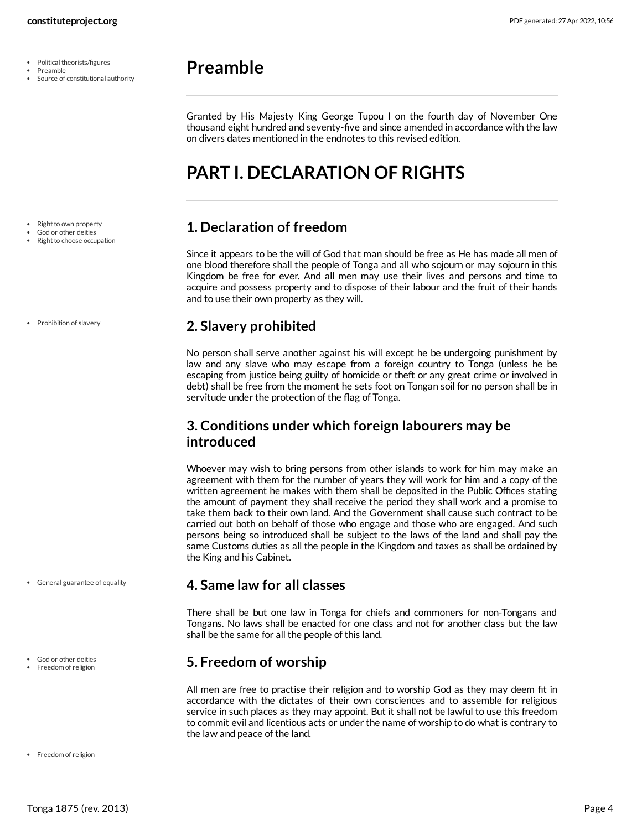- Political theorists/figures  $\bullet$
- Preamble
- Source of constitutional authority

# <span id="page-3-0"></span>**Preamble**

Granted by His Majesty King George Tupou I on the fourth day of November One thousand eight hundred and seventy-five and since amended in accordance with the law on divers dates mentioned in the endnotes to this revised edition.

# <span id="page-3-1"></span>**PART I. DECLARATION OF RIGHTS**

# <span id="page-3-2"></span>**1. Declaration of freedom**

Since it appears to be the will of God that man should be free as He has made all men of one blood therefore shall the people of Tonga and all who sojourn or may sojourn in this Kingdom be free for ever. And all men may use their lives and persons and time to acquire and possess property and to dispose of their labour and the fruit of their hands and to use their own property as they will.

# <span id="page-3-3"></span>**2. Slavery prohibited**

No person shall serve another against his will except he be undergoing punishment by law and any slave who may escape from a foreign country to Tonga (unless he be escaping from justice being guilty of homicide or theft or any great crime or involved in debt) shall be free from the moment he sets foot on Tongan soil for no person shall be in servitude under the protection of the flag of Tonga.

# <span id="page-3-4"></span>**3. Conditions under which foreign labourers may be introduced**

Whoever may wish to bring persons from other islands to work for him may make an agreement with them for the number of years they will work for him and a copy of the written agreement he makes with them shall be deposited in the Public Offices stating the amount of payment they shall receive the period they shall work and a promise to take them back to their own land. And the Government shall cause such contract to be carried out both on behalf of those who engage and those who are engaged. And such persons being so introduced shall be subject to the laws of the land and shall pay the same Customs duties as all the people in the Kingdom and taxes as shall be ordained by the King and his Cabinet.

### <span id="page-3-5"></span>**4. Same law for all classes**

There shall be but one law in Tonga for chiefs and commoners for non-Tongans and Tongans. No laws shall be enacted for one class and not for another class but the law shall be the same for all the people of this land.

### <span id="page-3-6"></span>**5. Freedom of worship**

All men are free to practise their religion and to worship God as they may deem fit in accordance with the dictates of their own consciences and to assemble for religious service in such places as they may appoint. But it shall not be lawful to use this freedom to commit evil and licentious acts or under the name of worship to do what is contrary to the law and peace of the land.

Right to own property God or other deities

Right to choose occupation

• Prohibition of slavery

General guarantee of equality

God or other deities Freedom of religion

• Freedom of religion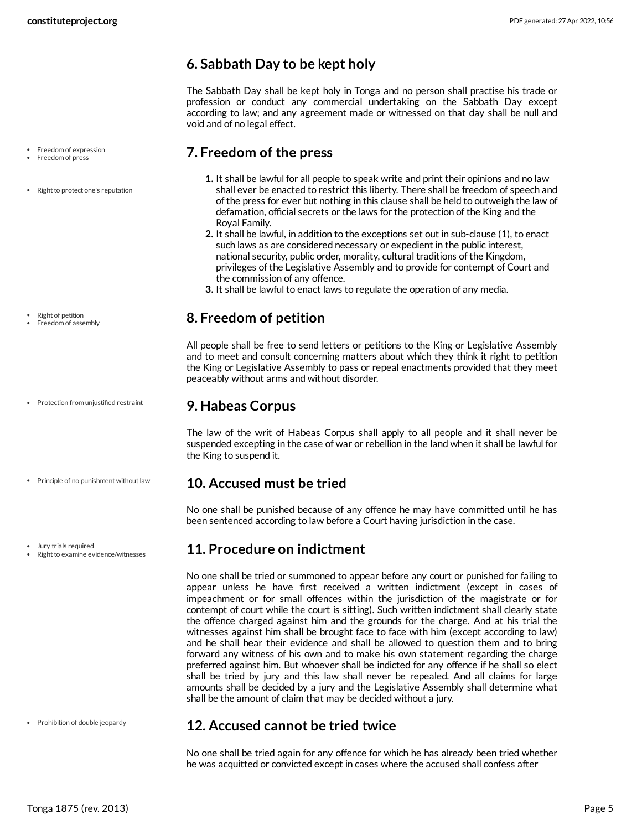# <span id="page-4-0"></span>**6. Sabbath Day to be kept holy**

The Sabbath Day shall be kept holy in Tonga and no person shall practise his trade or profession or conduct any commercial undertaking on the Sabbath Day except according to law; and any agreement made or witnessed on that day shall be null and void and of no legal effect.

# <span id="page-4-1"></span>**7. Freedom of the press**

- **1.** It shall be lawful for all people to speak write and print their opinions and no law shall ever be enacted to restrict this liberty. There shall be freedom of speech and of the press for ever but nothing in this clause shall be held to outweigh the law of defamation, official secrets or the laws for the protection of the King and the Royal Family.
- **2.** It shall be lawful, in addition to the exceptions set out in sub-clause (1), to enact such laws as are considered necessary or expedient in the public interest, national security, public order, morality, cultural traditions of the Kingdom, privileges of the Legislative Assembly and to provide for contempt of Court and the commission of any offence.
- **3.** It shall be lawful to enact laws to regulate the operation of any media.

# <span id="page-4-2"></span>**8. Freedom of petition**

All people shall be free to send letters or petitions to the King or Legislative Assembly and to meet and consult concerning matters about which they think it right to petition the King or Legislative Assembly to pass or repeal enactments provided that they meet peaceably without arms and without disorder.

# <span id="page-4-3"></span>**9. Habeas Corpus**

The law of the writ of Habeas Corpus shall apply to all people and it shall never be suspended excepting in the case of war or rebellion in the land when it shall be lawful for the King to suspend it.

# <span id="page-4-4"></span>**10. Accused must be tried**

No one shall be punished because of any offence he may have committed until he has been sentenced according to law before a Court having jurisdiction in the case.

# <span id="page-4-5"></span>**11. Procedure on indictment**

No one shall be tried or summoned to appear before any court or punished for failing to appear unless he have first received a written indictment (except in cases of impeachment or for small offences within the jurisdiction of the magistrate or for contempt of court while the court is sitting). Such written indictment shall clearly state the offence charged against him and the grounds for the charge. And at his trial the witnesses against him shall be brought face to face with him (except according to law) and he shall hear their evidence and shall be allowed to question them and to bring forward any witness of his own and to make his own statement regarding the charge preferred against him. But whoever shall be indicted for any offence if he shall so elect shall be tried by jury and this law shall never be repealed. And all claims for large amounts shall be decided by a jury and the Legislative Assembly shall determine what shall be the amount of claim that may be decided without a jury.

# <span id="page-4-6"></span>**12. Accused cannot be tried twice**

No one shall be tried again for any offence for which he has already been tried whether he was acquitted or convicted except in cases where the accused shall confess after

Freedom of expression Freedom of press

• Right to protect one's reputation

- Right of petition
- Freedom of assembly
- Protection from unjustified restraint
- Principle of no punishment without law
- Jury trials required
- Right to examine evidence/witnesses

• Prohibition of double jeopardy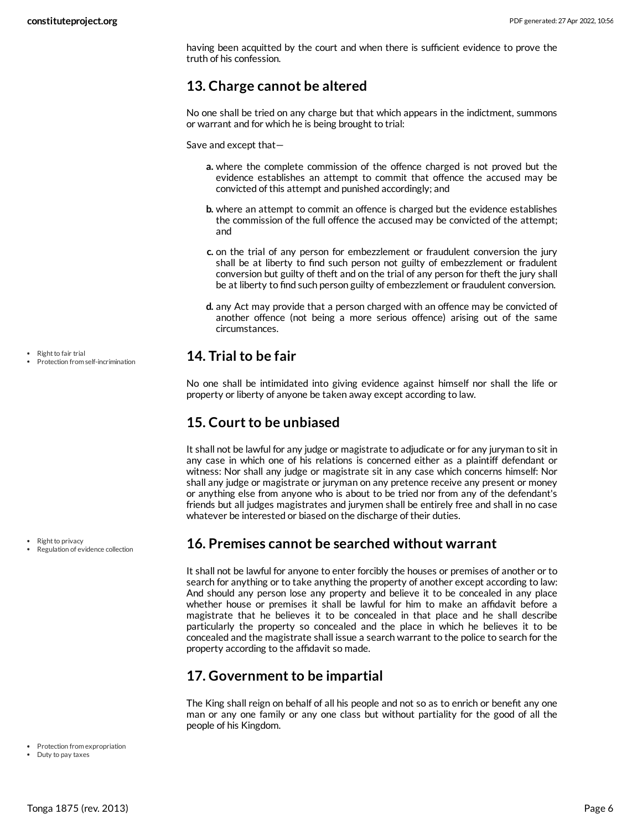having been acquitted by the court and when there is sufficient evidence to prove the truth of his confession.

# <span id="page-5-0"></span>**13. Charge cannot be altered**

No one shall be tried on any charge but that which appears in the indictment, summons or warrant and for which he is being brought to trial:

Save and except that—

- **a.** where the complete commission of the offence charged is not proved but the evidence establishes an attempt to commit that offence the accused may be convicted of this attempt and punished accordingly; and
- **b.** where an attempt to commit an offence is charged but the evidence establishes the commission of the full offence the accused may be convicted of the attempt; and
- **c.** on the trial of any person for embezzlement or fraudulent conversion the jury shall be at liberty to find such person not guilty of embezzlement or fradulent conversion but guilty of theft and on the trial of any person for theft the jury shall be at liberty to find such person guilty of embezzlement or fraudulent conversion.
- **d.** any Act may provide that a person charged with an offence may be convicted of another offence (not being a more serious offence) arising out of the same circumstances.

# <span id="page-5-1"></span>**14. Trial to be fair**

No one shall be intimidated into giving evidence against himself nor shall the life or property or liberty of anyone be taken away except according to law.

# <span id="page-5-2"></span>**15. Court to be unbiased**

It shall not be lawful for any judge or magistrate to adjudicate or for any juryman to sit in any case in which one of his relations is concerned either as a plaintiff defendant or witness: Nor shall any judge or magistrate sit in any case which concerns himself: Nor shall any judge or magistrate or juryman on any pretence receive any present or money or anything else from anyone who is about to be tried nor from any of the defendant's friends but all judges magistrates and jurymen shall be entirely free and shall in no case whatever be interested or biased on the discharge of their duties.

# <span id="page-5-3"></span>**16. Premises cannot be searched without warrant**

It shall not be lawful for anyone to enter forcibly the houses or premises of another or to search for anything or to take anything the property of another except according to law: And should any person lose any property and believe it to be concealed in any place whether house or premises it shall be lawful for him to make an affidavit before a magistrate that he believes it to be concealed in that place and he shall describe particularly the property so concealed and the place in which he believes it to be concealed and the magistrate shall issue a search warrant to the police to search for the property according to the affidavit so made.

# <span id="page-5-4"></span>**17. Government to be impartial**

<span id="page-5-5"></span>The King shall reign on behalf of all his people and not so as to enrich or benefit any one man or any one family or any one class but without partiality for the good of all the people of his Kingdom.

- Right to fair trial
- Protection from self-incrimination

Right to privacy Regulation of evidence collection

• Protection from expropriation • Duty to pay taxes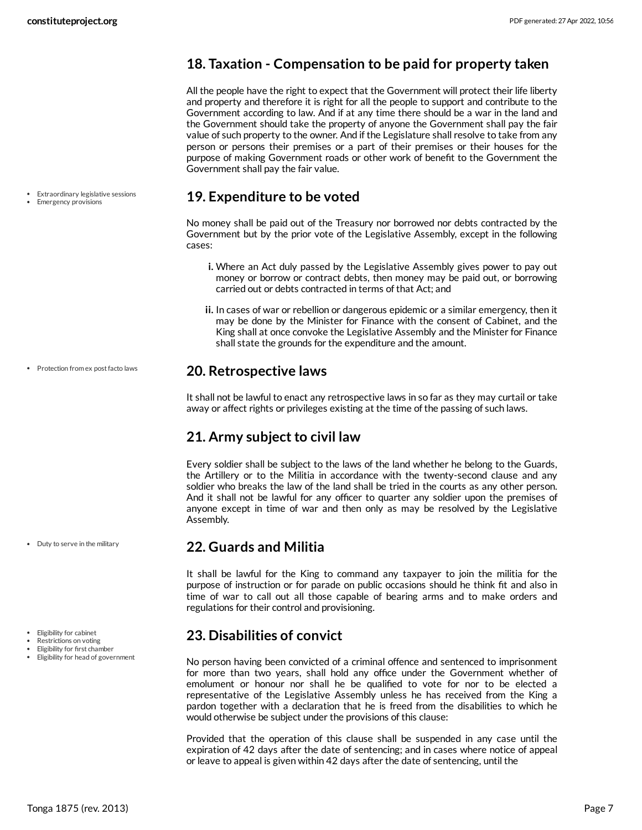<span id="page-6-0"></span>**18. Taxation - Compensation to be paid for property taken**

All the people have the right to expect that the Government will protect their life liberty and property and therefore it is right for all the people to support and contribute to the Government according to law. And if at any time there should be a war in the land and the Government should take the property of anyone the Government shall pay the fair value of such property to the owner. And if the Legislature shall resolve to take from any person or persons their premises or a part of their premises or their houses for the purpose of making Government roads or other work of benefit to the Government the Government shall pay the fair value.

### <span id="page-6-1"></span>**19. Expenditure to be voted**

No money shall be paid out of the Treasury nor borrowed nor debts contracted by the Government but by the prior vote of the Legislative Assembly, except in the following cases:

- **i.** Where an Act duly passed by the Legislative Assembly gives power to pay out money or borrow or contract debts, then money may be paid out, or borrowing carried out or debts contracted in terms of that Act; and
- **ii.** In cases of war or rebellion or dangerous epidemic or a similar emergency, then it may be done by the Minister for Finance with the consent of Cabinet, and the King shall at once convoke the Legislative Assembly and the Minister for Finance shall state the grounds for the expenditure and the amount.

# <span id="page-6-2"></span>**20. Retrospective laws**

It shall not be lawful to enact any retrospective laws in so far as they may curtail or take away or affect rights or privileges existing at the time of the passing of such laws.

# <span id="page-6-3"></span>**21. Army subject to civil law**

Every soldier shall be subject to the laws of the land whether he belong to the Guards, the Artillery or to the Militia in accordance with the twenty-second clause and any soldier who breaks the law of the land shall be tried in the courts as any other person. And it shall not be lawful for any officer to quarter any soldier upon the premises of anyone except in time of war and then only as may be resolved by the Legislative Assembly.

### <span id="page-6-4"></span>**22. Guards and Militia**

It shall be lawful for the King to command any taxpayer to join the militia for the purpose of instruction or for parade on public occasions should he think fit and also in time of war to call out all those capable of bearing arms and to make orders and regulations for their control and provisioning.

# <span id="page-6-5"></span>**23. Disabilities of convict**

No person having been convicted of a criminal offence and sentenced to imprisonment for more than two years, shall hold any office under the Government whether of emolument or honour nor shall he be qualified to vote for nor to be elected a representative of the Legislative Assembly unless he has received from the King a pardon together with a declaration that he is freed from the disabilities to which he would otherwise be subject under the provisions of this clause:

Provided that the operation of this clause shall be suspended in any case until the expiration of 42 days after the date of sentencing; and in cases where notice of appeal or leave to appeal is given within 42 days after the date of sentencing, until the

Extraordinary legislative sessions

• Emergency provisions

• Protection from ex post facto laws

```
• Duty to serve in the military
```
Eligibility for cabinet

Restrictions on voting

Eligibility for first chamber Eligibility for head of government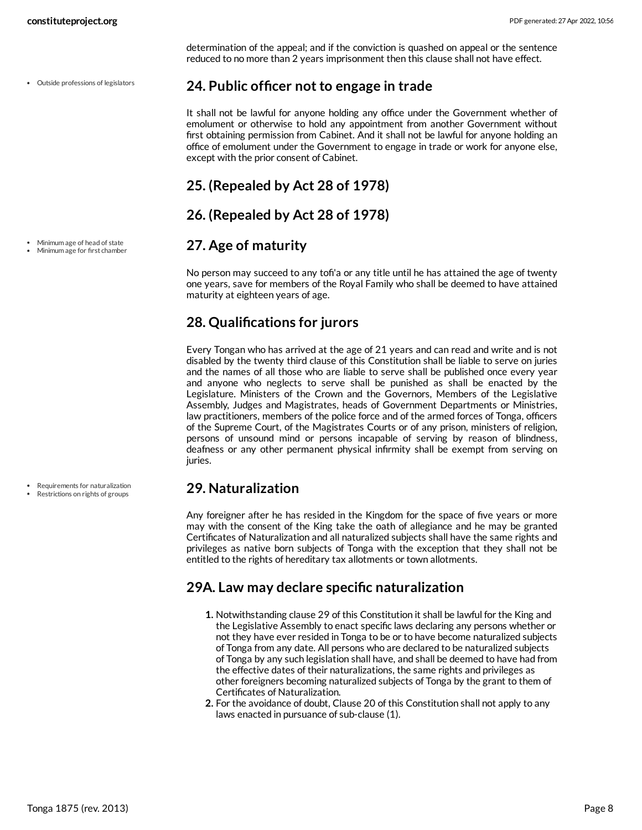determination of the appeal; and if the conviction is quashed on appeal or the sentence reduced to no more than 2 years imprisonment then this clause shall not have effect.

Outside professions of legislators

# <span id="page-7-0"></span>**24. Public officer not to engage in trade**

It shall not be lawful for anyone holding any office under the Government whether of emolument or otherwise to hold any appointment from another Government without first obtaining permission from Cabinet. And it shall not be lawful for anyone holding an office of emolument under the Government to engage in trade or work for anyone else, except with the prior consent of Cabinet.

# <span id="page-7-1"></span>**25. (Repealed by Act 28 of 1978)**

<span id="page-7-2"></span>**26. (Repealed by Act 28 of 1978)**

# <span id="page-7-3"></span>**27. Age of maturity**

No person may succeed to any tofi'a or any title until he has attained the age of twenty one years, save for members of the Royal Family who shall be deemed to have attained maturity at eighteen years of age.

# <span id="page-7-4"></span>**28. Qualifications for jurors**

Every Tongan who has arrived at the age of 21 years and can read and write and is not disabled by the twenty third clause of this Constitution shall be liable to serve on juries and the names of all those who are liable to serve shall be published once every year and anyone who neglects to serve shall be punished as shall be enacted by the Legislature. Ministers of the Crown and the Governors, Members of the Legislative Assembly, Judges and Magistrates, heads of Government Departments or Ministries, law practitioners, members of the police force and of the armed forces of Tonga, officers of the Supreme Court, of the Magistrates Courts or of any prison, ministers of religion, persons of unsound mind or persons incapable of serving by reason of blindness, deafness or any other permanent physical infirmity shall be exempt from serving on juries.

# <span id="page-7-5"></span>**29. Naturalization**

Any foreigner after he has resided in the Kingdom for the space of five years or more may with the consent of the King take the oath of allegiance and he may be granted Certificates of Naturalization and all naturalized subjects shall have the same rights and privileges as native born subjects of Tonga with the exception that they shall not be entitled to the rights of hereditary tax allotments or town allotments.

# <span id="page-7-6"></span>**29A. Law may declare specific naturalization**

- **1.** Notwithstanding clause 29 of this Constitution it shall be lawful for the King and the Legislative Assembly to enact specific laws declaring any persons whether or not they have ever resided in Tonga to be or to have become naturalized subjects of Tonga from any date. All persons who are declared to be naturalized subjects of Tonga by any such legislation shall have, and shall be deemed to have had from the effective dates of their naturalizations, the same rights and privileges as other foreigners becoming naturalized subjects of Tonga by the grant to them of Certificates of Naturalization.
- **2.** For the avoidance of doubt, Clause 20 of this Constitution shall not apply to any laws enacted in pursuance of sub-clause (1).

Minimum age of head of state Minimum age for first chamber

- Requirements for naturalization
- Restrictions on rights of groups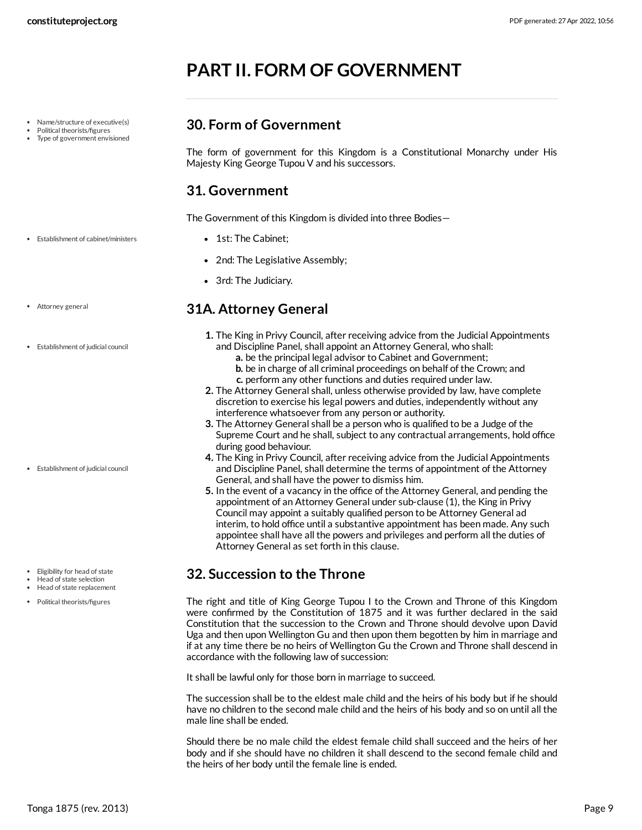# <span id="page-8-0"></span>**PART II. FORM OF GOVERNMENT**

- Name/structure of executive(s)
- Political theorists/figures Type of government envisioned

# <span id="page-8-1"></span>**30. Form of Government**

The form of government for this Kingdom is a Constitutional Monarchy under His Majesty King George Tupou V and his successors.

# <span id="page-8-2"></span>**31. Government**

<span id="page-8-5"></span>The Government of this Kingdom is divided into three Bodies—

- 1st: The Cabinet:
- 2nd: The Legislative Assembly;
- 3rd: The Judiciary.

# <span id="page-8-3"></span>**31A. Attorney General**

- **1.** The King in Privy Council, after receiving advice from the Judicial Appointments and Discipline Panel, shall appoint an Attorney General, who shall:
	- **a.** be the principal legal advisor to Cabinet and Government;
	- **b.** be in charge of all criminal proceedings on behalf of the Crown; and **c.** perform any other functions and duties required under law.
- **2.** The Attorney General shall, unless otherwise provided by law, have complete discretion to exercise his legal powers and duties, independently without any interference whatsoever from any person or authority.
- **3.** The Attorney General shall be a person who is qualified to be a Judge of the Supreme Court and he shall, subject to any contractual arrangements, hold office during good behaviour.
- **4.** The King in Privy Council, after receiving advice from the Judicial Appointments and Discipline Panel, shall determine the terms of appointment of the Attorney General, and shall have the power to dismiss him.
- **5.** In the event of a vacancy in the office of the Attorney General, and pending the appointment of an Attorney General under sub-clause (1), the King in Privy Council may appoint a suitably qualified person to be Attorney General ad interim, to hold office until a substantive appointment has been made. Any such appointee shall have all the powers and privileges and perform all the duties of Attorney General as set forth in this clause.

# <span id="page-8-4"></span>**32. Succession to the Throne**

The right and title of King George Tupou I to the Crown and Throne of this Kingdom were confirmed by the Constitution of 1875 and it was further declared in the said Constitution that the succession to the Crown and Throne should devolve upon David Uga and then upon Wellington Gu and then upon them begotten by him in marriage and if at any time there be no heirs of Wellington Gu the Crown and Throne shall descend in accordance with the following law of succession:

It shall be lawful only for those born in marriage to succeed.

The succession shall be to the eldest male child and the heirs of his body but if he should have no children to the second male child and the heirs of his body and so on until all the male line shall be ended.

Should there be no male child the eldest female child shall succeed and the heirs of her body and if she should have no children it shall descend to the second female child and the heirs of her body until the female line is ended.

- Establishment of cabinet/ministers
- Attorney general
- Establishment of judicial council

Establishment of judicial council

- 
- Eligibility for head of state Head of state selection
- Head of state replacement
- Political theorists/figures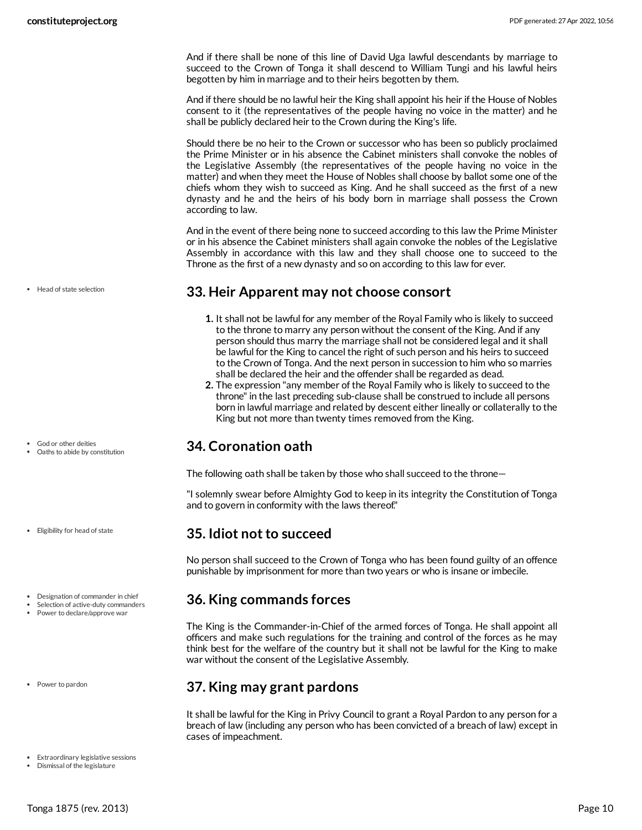And if there shall be none of this line of David Uga lawful descendants by marriage to succeed to the Crown of Tonga it shall descend to William Tungi and his lawful heirs begotten by him in marriage and to their heirs begotten by them.

And if there should be no lawful heir the King shall appoint his heir if the House of Nobles consent to it (the representatives of the people having no voice in the matter) and he shall be publicly declared heir to the Crown during the King's life.

Should there be no heir to the Crown or successor who has been so publicly proclaimed the Prime Minister or in his absence the Cabinet ministers shall convoke the nobles of the Legislative Assembly (the representatives of the people having no voice in the matter) and when they meet the House of Nobles shall choose by ballot some one of the chiefs whom they wish to succeed as King. And he shall succeed as the first of a new dynasty and he and the heirs of his body born in marriage shall possess the Crown according to law.

And in the event of there being none to succeed according to this law the Prime Minister or in his absence the Cabinet ministers shall again convoke the nobles of the Legislative Assembly in accordance with this law and they shall choose one to succeed to the Throne as the first of a new dynasty and so on according to this law for ever.

### <span id="page-9-0"></span>**33. Heir Apparent may not choose consort**

- **1.** It shall not be lawful for any member of the Royal Family who is likely to succeed to the throne to marry any person without the consent of the King. And if any person should thus marry the marriage shall not be considered legal and it shall be lawful for the King to cancel the right of such person and his heirs to succeed to the Crown of Tonga. And the next person in succession to him who so marries shall be declared the heir and the offender shall be regarded as dead.
- **2.** The expression "any member of the Royal Family who is likely to succeed to the throne" in the last preceding sub-clause shall be construed to include all persons born in lawful marriage and related by descent either lineally or collaterally to the King but not more than twenty times removed from the King.

### <span id="page-9-1"></span>**34. Coronation oath**

The following oath shall be taken by those who shall succeed to the throne—

"I solemnly swear before Almighty God to keep in its integrity the Constitution of Tonga and to govern in conformity with the laws thereof."

### <span id="page-9-2"></span>**35. Idiot not to succeed**

No person shall succeed to the Crown of Tonga who has been found guilty of an offence punishable by imprisonment for more than two years or who is insane or imbecile.

### <span id="page-9-3"></span>**36. King commands forces**

The King is the Commander-in-Chief of the armed forces of Tonga. He shall appoint all officers and make such regulations for the training and control of the forces as he may think best for the welfare of the country but it shall not be lawful for the King to make war without the consent of the Legislative Assembly.

# <span id="page-9-4"></span>**37. King may grant pardons**

<span id="page-9-5"></span>It shall be lawful for the King in Privy Council to grant a Royal Pardon to any person for a breach of law (including any person who has been convicted of a breach of law) except in cases of impeachment.

Head of state selection

God or other deities

Oaths to abide by constitution

Eligibility for head of state

Designation of commander in chief Selection of active-duty commanders • Power to declare/approve war

Power to pardon



Dismissal of the legislature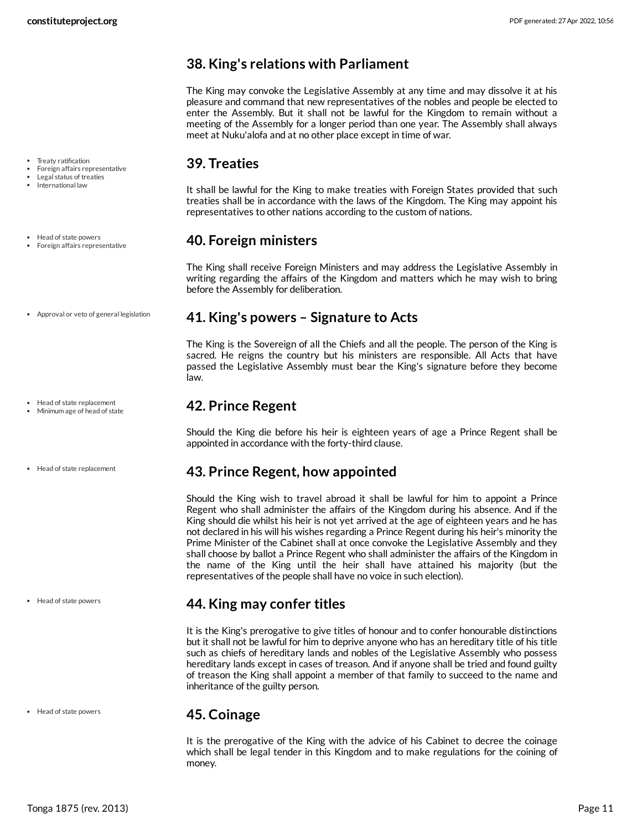# <span id="page-10-0"></span>**38. King's relations with Parliament**

The King may convoke the Legislative Assembly at any time and may dissolve it at his pleasure and command that new representatives of the nobles and people be elected to enter the Assembly. But it shall not be lawful for the Kingdom to remain without a meeting of the Assembly for a longer period than one year. The Assembly shall always meet at Nuku'alofa and at no other place except in time of war.

# <span id="page-10-1"></span>**39. Treaties**

It shall be lawful for the King to make treaties with Foreign States provided that such treaties shall be in accordance with the laws of the Kingdom. The King may appoint his representatives to other nations according to the custom of nations.

# <span id="page-10-2"></span>**40. Foreign ministers**

The King shall receive Foreign Ministers and may address the Legislative Assembly in writing regarding the affairs of the Kingdom and matters which he may wish to bring before the Assembly for deliberation.

# <span id="page-10-3"></span>**41. King's powers – Signature to Acts**

The King is the Sovereign of all the Chiefs and all the people. The person of the King is sacred. He reigns the country but his ministers are responsible. All Acts that have passed the Legislative Assembly must bear the King's signature before they become law.

# <span id="page-10-4"></span>**42. Prince Regent**

Should the King die before his heir is eighteen years of age a Prince Regent shall be appointed in accordance with the forty-third clause.

### <span id="page-10-5"></span>**43. Prince Regent, how appointed**

Should the King wish to travel abroad it shall be lawful for him to appoint a Prince Regent who shall administer the affairs of the Kingdom during his absence. And if the King should die whilst his heir is not yet arrived at the age of eighteen years and he has not declared in his will his wishes regarding a Prince Regent during his heir's minority the Prime Minister of the Cabinet shall at once convoke the Legislative Assembly and they shall choose by ballot a Prince Regent who shall administer the affairs of the Kingdom in the name of the King until the heir shall have attained his majority (but the representatives of the people shall have no voice in such election).

# <span id="page-10-6"></span>**44. King may confer titles**

It is the King's prerogative to give titles of honour and to confer honourable distinctions but it shall not be lawful for him to deprive anyone who has an hereditary title of his title such as chiefs of hereditary lands and nobles of the Legislative Assembly who possess hereditary lands except in cases of treason. And if anyone shall be tried and found guilty of treason the King shall appoint a member of that family to succeed to the name and inheritance of the guilty person.

### <span id="page-10-7"></span>**45. Coinage**

It is the prerogative of the King with the advice of his Cabinet to decree the coinage which shall be legal tender in this Kingdom and to make regulations for the coining of money.

Treaty ratification

- Foreign affairs representative
- Legal status of treaties • International law

Head of state powers

Foreign affairs representative

Approval or veto of general legislation

• Head of state replacement Minimum age of head of state

Head of state replacement

• Head of state powers

• Head of state powers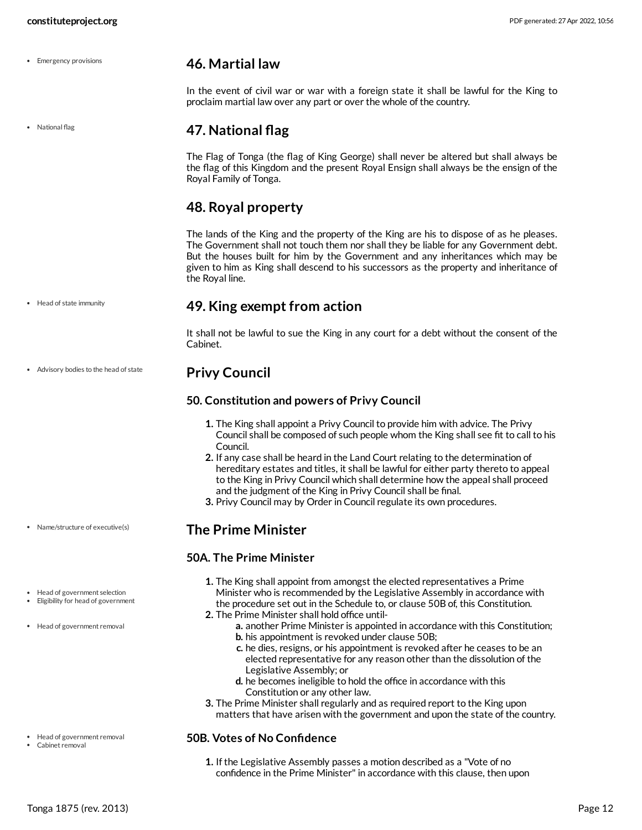• Emergency provisions

• National flag

### <span id="page-11-0"></span>**46. Martial law**

In the event of civil war or war with a foreign state it shall be lawful for the King to proclaim martial law over any part or over the whole of the country.

# <span id="page-11-1"></span>**47. National flag**

The Flag of Tonga (the flag of King George) shall never be altered but shall always be the flag of this Kingdom and the present Royal Ensign shall always be the ensign of the Royal Family of Tonga.

# <span id="page-11-2"></span>**48. Royal property**

The lands of the King and the property of the King are his to dispose of as he pleases. The Government shall not touch them nor shall they be liable for any Government debt. But the houses built for him by the Government and any inheritances which may be given to him as King shall descend to his successors as the property and inheritance of the Royal line.

### <span id="page-11-3"></span>**49. King exempt from action**

It shall not be lawful to sue the King in any court for a debt without the consent of the Cabinet.

# <span id="page-11-4"></span>**Privy Council**

#### **50. Constitution and powers of Privy Council**

- **1.** The King shall appoint a Privy Council to provide him with advice. The Privy Council shall be composed of such people whom the King shall see fit to call to his Council.
- **2.** If any case shall be heard in the Land Court relating to the determination of hereditary estates and titles, it shall be lawful for either party thereto to appeal to the King in Privy Council which shall determine how the appeal shall proceed and the judgment of the King in Privy Council shall be final.
- **3.** Privy Council may by Order in Council regulate its own procedures.

### <span id="page-11-5"></span>**The Prime Minister**

#### <span id="page-11-7"></span>**50A. The Prime Minister**

- **1.** The King shall appoint from amongst the elected representatives a Prime Minister who is recommended by the Legislative Assembly in accordance with the procedure set out in the Schedule to, or clause 50B of, this Constitution.
- **2.** The Prime Minister shall hold office until
	- **a.** another Prime Minister is appointed in accordance with this Constitution; **b.** his appointment is revoked under clause 50B;
		- **c.** he dies, resigns, or his appointment is revoked after he ceases to be an elected representative for any reason other than the dissolution of the Legislative Assembly; or
		- **d.** he becomes ineligible to hold the office in accordance with this Constitution or any other law.
- **3.** The Prime Minister shall regularly and as required report to the King upon matters that have arisen with the government and upon the state of the country.

#### <span id="page-11-6"></span>**50B. Votes of No Confidence**

**1.** If the Legislative Assembly passes a motion described as a "Vote of no confidence in the Prime Minister" in accordance with this clause, then upon

Head of state immunity

Advisory bodies to the head of state

Name/structure of executive(s)

- Head of government selection
- Eligibility for head of government
- Head of government removal

Head of government removal Cabinet removal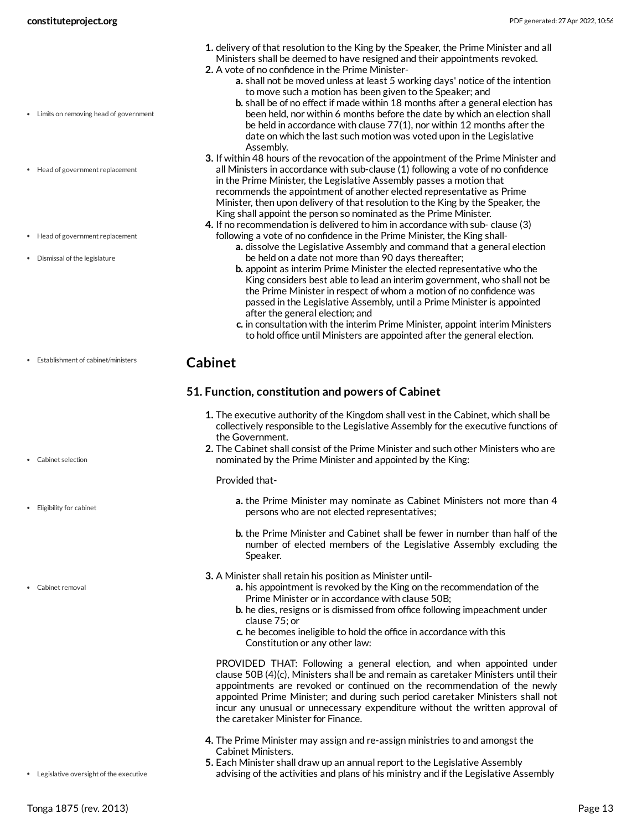Limits on removing head of government

Head of government replacement

Head of government replacement

Dismissal of the legislature

- **1.** delivery of that resolution to the King by the Speaker, the Prime Minister and all Ministers shall be deemed to have resigned and their appointments revoked. **2.** A vote of no confidence in the Prime Minister
	- **a.** shall not be moved unless at least 5 working days' notice of the intention to move such a motion has been given to the Speaker; and
	- **b.** shall be of no effect if made within 18 months after a general election has been held, nor within 6 months before the date by which an election shall be held in accordance with clause 77(1), nor within 12 months after the date on which the last such motion was voted upon in the Legislative Assembly.
- **3.** If within 48 hours of the revocation of the appointment of the Prime Minister and all Ministers in accordance with sub-clause (1) following a vote of no confidence in the Prime Minister, the Legislative Assembly passes a motion that recommends the appointment of another elected representative as Prime Minister, then upon delivery of that resolution to the King by the Speaker, the King shall appoint the person so nominated as the Prime Minister.
- **4.** If no recommendation is delivered to him in accordance with sub- clause (3) following a vote of no confidence in the Prime Minister, the King shall
	- **a.** dissolve the Legislative Assembly and command that a general election be held on a date not more than 90 days thereafter;
	- **b.** appoint as interim Prime Minister the elected representative who the King considers best able to lead an interim government, who shall not be the Prime Minister in respect of whom a motion of no confidence was passed in the Legislative Assembly, until a Prime Minister is appointed after the general election; and
	- **c.** in consultation with the interim Prime Minister, appoint interim Ministers to hold office until Ministers are appointed after the general election.

# <span id="page-12-0"></span>**Cabinet**

### <span id="page-12-1"></span>**51. Function, constitution and powers of Cabinet**

- **1.** The executive authority of the Kingdom shall vest in the Cabinet, which shall be collectively responsible to the Legislative Assembly for the executive functions of the Government.
- **2.** The Cabinet shall consist of the Prime Minister and such other Ministers who are nominated by the Prime Minister and appointed by the King:

#### <span id="page-12-2"></span>Provided that-

- **a.** the Prime Minister may nominate as Cabinet Ministers not more than 4 persons who are not elected representatives;
- **b.** the Prime Minister and Cabinet shall be fewer in number than half of the number of elected members of the Legislative Assembly excluding the Speaker.
- **3.** A Minister shall retain his position as Minister until
	- **a.** his appointment is revoked by the King on the recommendation of the Prime Minister or in accordance with clause 50B;
	- **b.** he dies, resigns or is dismissed from office following impeachment under clause 75; or
	- **c.** he becomes ineligible to hold the office in accordance with this Constitution or any other law:

PROVIDED THAT: Following a general election, and when appointed under clause 50B (4)(c), Ministers shall be and remain as caretaker Ministers until their appointments are revoked or continued on the recommendation of the newly appointed Prime Minister; and during such period caretaker Ministers shall not incur any unusual or unnecessary expenditure without the written approval of the caretaker Minister for Finance.

- **4.** The Prime Minister may assign and re-assign ministries to and amongst the Cabinet Ministers.
- **5.** Each Minister shall draw up an annual report to the Legislative Assembly advising of the activities and plans of his ministry and if the Legislative Assembly

Establishment of cabinet/ministers

- Cabinet selection
- Eligibility for cabinet
- Cabinet removal

Legislative oversight of the executive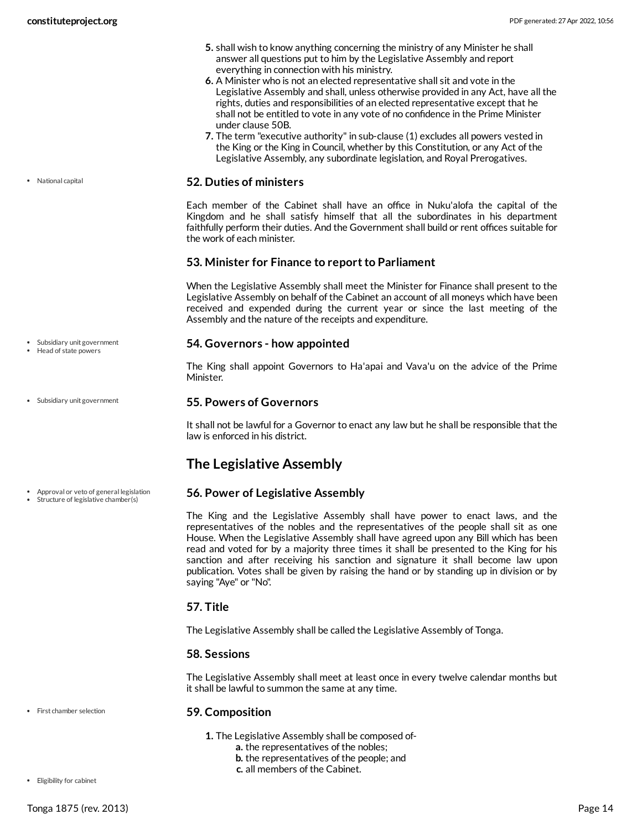National capital

Subsidiary unit government • Head of state powers

Subsidiary unit government

Approval or veto of general legislation Structure of legislative chamber(s)

- **5.** shall wish to know anything concerning the ministry of any Minister he shall answer all questions put to him by the Legislative Assembly and report everything in connection with his ministry.
- **6.** A Minister who is not an elected representative shall sit and vote in the Legislative Assembly and shall, unless otherwise provided in any Act, have all the rights, duties and responsibilities of an elected representative except that he shall not be entitled to vote in any vote of no confidence in the Prime Minister under clause 50B.
- **7.** The term "executive authority" in sub-clause (1) excludes all powers vested in the King or the King in Council, whether by this Constitution, or any Act of the Legislative Assembly, any subordinate legislation, and Royal Prerogatives.

#### <span id="page-13-4"></span>**52. Duties of ministers**

Each member of the Cabinet shall have an office in Nuku'alofa the capital of the Kingdom and he shall satisfy himself that all the subordinates in his department faithfully perform their duties. And the Government shall build or rent offices suitable for the work of each minister.

#### **53. Minister for Finance to reportto Parliament**

When the Legislative Assembly shall meet the Minister for Finance shall present to the Legislative Assembly on behalf of the Cabinet an account of all moneys which have been received and expended during the current year or since the last meeting of the Assembly and the nature of the receipts and expenditure.

#### <span id="page-13-3"></span>**54. Governors - how appointed**

The King shall appoint Governors to Ha'apai and Vava'u on the advice of the Prime Minister.

#### **55. Powers of Governors**

It shall not be lawful for a Governor to enact any law but he shall be responsible that the law is enforced in his district.

### <span id="page-13-0"></span>**The Legislative Assembly**

#### <span id="page-13-1"></span>**56. Power of Legislative Assembly**

The King and the Legislative Assembly shall have power to enact laws, and the representatives of the nobles and the representatives of the people shall sit as one House. When the Legislative Assembly shall have agreed upon any Bill which has been read and voted for by a majority three times it shall be presented to the King for his sanction and after receiving his sanction and signature it shall become law upon publication. Votes shall be given by raising the hand or by standing up in division or by saying "Aye" or "No".

#### **57. Title**

The Legislative Assembly shall be called the Legislative Assembly of Tonga.

#### **58. Sessions**

The Legislative Assembly shall meet at least once in every twelve calendar months but it shall be lawful to summon the same at any time.

First chamber selection

#### <span id="page-13-2"></span>**59. Composition**

- **1.** The Legislative Assembly shall be composed of
	- **a.** the representatives of the nobles;
	- **b.** the representatives of the people; and
	- **c.** all members of the Cabinet.

Eligibility for cabinet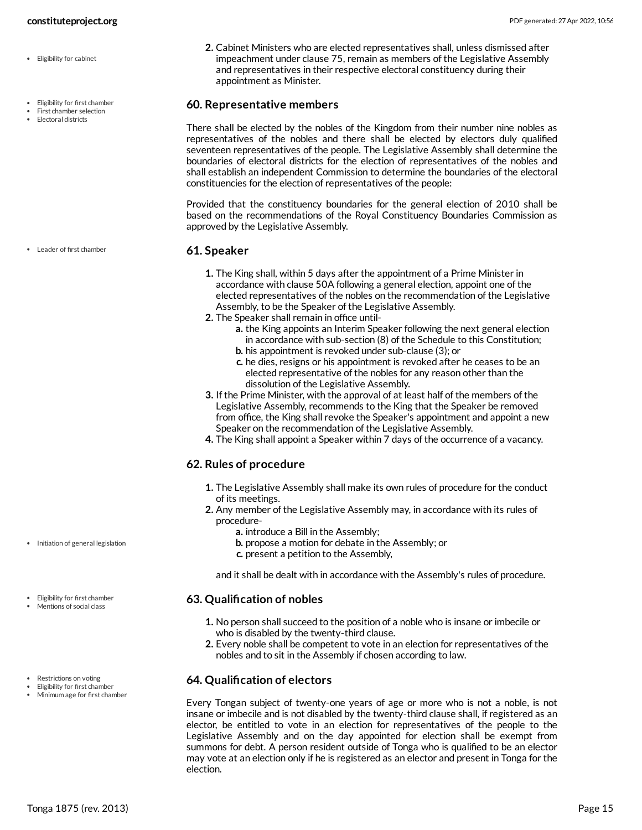- Eligibility for cabinet
- 
- Eligibility for first chamber
- First chamber selection Electoral districts
- 

Leader of first chamber

**2.** Cabinet Ministers who are elected representatives shall, unless dismissed after impeachment under clause 75, remain as members of the Legislative Assembly and representatives in their respective electoral constituency during their appointment as Minister.

#### <span id="page-14-0"></span>**60. Representative members**

There shall be elected by the nobles of the Kingdom from their number nine nobles as representatives of the nobles and there shall be elected by electors duly qualified seventeen representatives of the people. The Legislative Assembly shall determine the boundaries of electoral districts for the election of representatives of the nobles and shall establish an independent Commission to determine the boundaries of the electoral constituencies for the election of representatives of the people:

Provided that the constituency boundaries for the general election of 2010 shall be based on the recommendations of the Royal Constituency Boundaries Commission as approved by the Legislative Assembly.

#### <span id="page-14-2"></span>**61. Speaker**

- **1.** The King shall, within 5 days after the appointment of a Prime Minister in accordance with clause 50A following a general election, appoint one of the elected representatives of the nobles on the recommendation of the Legislative Assembly, to be the Speaker of the Legislative Assembly.
- **2.** The Speaker shall remain in office until
	- **a.** the King appoints an Interim Speaker following the next general election in accordance with sub-section (8) of the Schedule to this Constitution;
	- **b.** his appointment is revoked under sub-clause (3); or
	- **c.** he dies, resigns or his appointment is revoked after he ceases to be an elected representative of the nobles for any reason other than the dissolution of the Legislative Assembly.
- **3.** If the Prime Minister, with the approval of at least half of the members of the Legislative Assembly, recommends to the King that the Speaker be removed from office, the King shall revoke the Speaker's appointment and appoint a new Speaker on the recommendation of the Legislative Assembly.
- **4.** The King shall appoint a Speaker within 7 days of the occurrence of a vacancy.

#### <span id="page-14-1"></span>**62. Rules of procedure**

- **1.** The Legislative Assembly shall make its own rules of procedure for the conduct of its meetings.
- **2.** Any member of the Legislative Assembly may, in accordance with its rules of procedure
	- **a.** introduce a Bill in the Assembly;
	- **b.** propose a motion for debate in the Assembly; or
	- **c.** present a petition to the Assembly,

and it shall be dealt with in accordance with the Assembly's rules of procedure.

#### <span id="page-14-3"></span>**63. Qualification of nobles**

- **1.** No person shall succeed to the position of a noble who is insane or imbecile or who is disabled by the twenty-third clause.
- **2.** Every noble shall be competent to vote in an election for representatives of the nobles and to sit in the Assembly if chosen according to law.

#### <span id="page-14-4"></span>**64. Qualification of electors**

Every Tongan subject of twenty-one years of age or more who is not a noble, is not insane or imbecile and is not disabled by the twenty-third clause shall, if registered as an elector, be entitled to vote in an election for representatives of the people to the Legislative Assembly and on the day appointed for election shall be exempt from summons for debt. A person resident outside of Tonga who is qualified to be an elector may vote at an election only if he is registered as an elector and present in Tonga for the election.

• Initiation of general legislation

Eligibility for first chamber Mentions of social class

- Restrictions on voting Eligibility for first chamber
- Minimum age for first chamber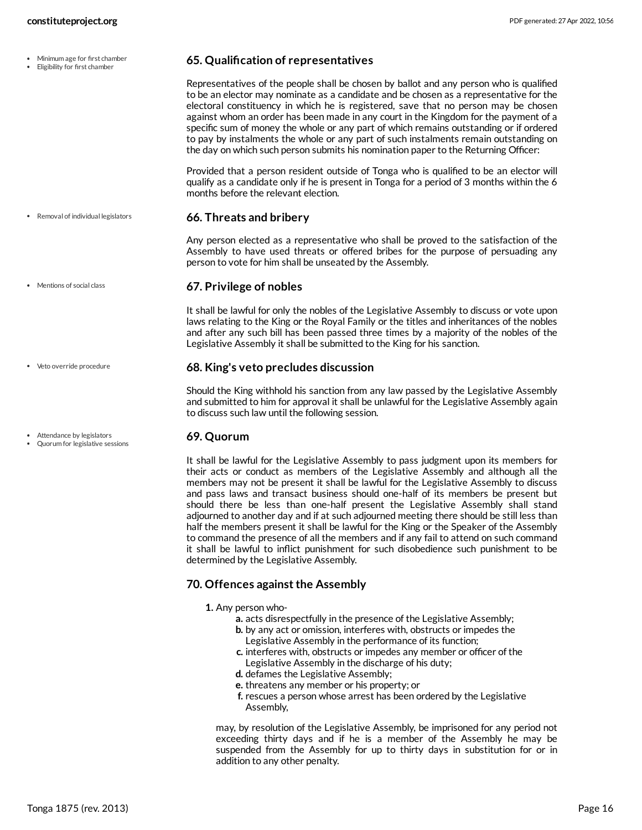Minimum age for first chamber

Removal of individual legislators

• Mentions of social class

Eligibility for first chamber

### <span id="page-15-1"></span>**65. Qualification of representatives**

Representatives of the people shall be chosen by ballot and any person who is qualified to be an elector may nominate as a candidate and be chosen as a representative for the electoral constituency in which he is registered, save that no person may be chosen against whom an order has been made in any court in the Kingdom for the payment of a specific sum of money the whole or any part of which remains outstanding or if ordered to pay by instalments the whole or any part of such instalments remain outstanding on the day on which such person submits his nomination paper to the Returning Officer:

Provided that a person resident outside of Tonga who is qualified to be an elector will qualify as a candidate only if he is present in Tonga for a period of 3 months within the 6 months before the relevant election.

#### **66. Threats and bribery**

<span id="page-15-3"></span>Any person elected as a representative who shall be proved to the satisfaction of the Assembly to have used threats or offered bribes for the purpose of persuading any person to vote for him shall be unseated by the Assembly.

#### <span id="page-15-2"></span>**67. Privilege of nobles**

It shall be lawful for only the nobles of the Legislative Assembly to discuss or vote upon laws relating to the King or the Royal Family or the titles and inheritances of the nobles and after any such bill has been passed three times by a majority of the nobles of the Legislative Assembly it shall be submitted to the King for his sanction.

#### <span id="page-15-4"></span>**68. King's veto precludes discussion**

Should the King withhold his sanction from any law passed by the Legislative Assembly and submitted to him for approval it shall be unlawful for the Legislative Assembly again to discuss such law until the following session.

#### <span id="page-15-0"></span>**69. Quorum**

It shall be lawful for the Legislative Assembly to pass judgment upon its members for their acts or conduct as members of the Legislative Assembly and although all the members may not be present it shall be lawful for the Legislative Assembly to discuss and pass laws and transact business should one-half of its members be present but should there be less than one-half present the Legislative Assembly shall stand adjourned to another day and if at such adjourned meeting there should be still less than half the members present it shall be lawful for the King or the Speaker of the Assembly to command the presence of all the members and if any fail to attend on such command it shall be lawful to inflict punishment for such disobedience such punishment to be determined by the Legislative Assembly.

#### **70. Offences against the Assembly**

- **1.** Any person who
	- **a.** acts disrespectfully in the presence of the Legislative Assembly;
	- **b.** by any act or omission, interferes with, obstructs or impedes the
	- Legislative Assembly in the performance of its function; **c.** interferes with, obstructs or impedes any member or officer of the
		- Legislative Assembly in the discharge of his duty;
	- **d.** defames the Legislative Assembly; **e.** threatens any member or his property; or
	- **f.** rescues a person whose arrest has been ordered by the Legislative Assembly,

may, by resolution of the Legislative Assembly, be imprisoned for any period not exceeding thirty days and if he is a member of the Assembly he may be suspended from the Assembly for up to thirty days in substitution for or in addition to any other penalty.

Veto override procedure

Attendance by legislators Quorum for legislative sessions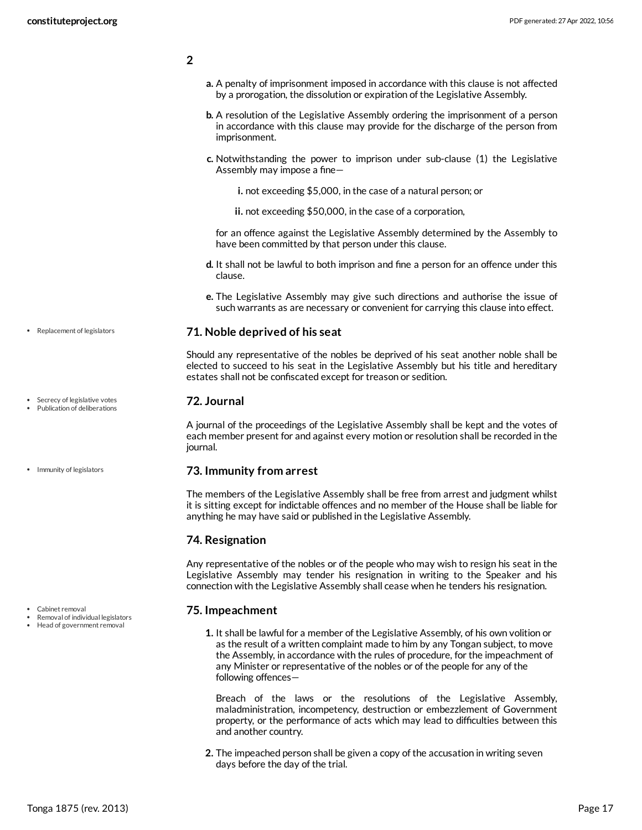**2**

- **a.** A penalty of imprisonment imposed in accordance with this clause is not affected by a prorogation, the dissolution or expiration of the Legislative Assembly.
- **b.** A resolution of the Legislative Assembly ordering the imprisonment of a person in accordance with this clause may provide for the discharge of the person from imprisonment.
- **c.** Notwithstanding the power to imprison under sub-clause (1) the Legislative Assembly may impose a fine
	- **i.** not exceeding \$5,000, in the case of a natural person; or
	- **ii.** not exceeding \$50,000, in the case of a corporation,

for an offence against the Legislative Assembly determined by the Assembly to have been committed by that person under this clause.

- **d.** It shall not be lawful to both imprison and fine a person for an offence under this clause.
- **e.** The Legislative Assembly may give such directions and authorise the issue of such warrants as are necessary or convenient for carrying this clause into effect.

#### <span id="page-16-3"></span>**71. Noble deprived of his seat**

Should any representative of the nobles be deprived of his seat another noble shall be elected to succeed to his seat in the Legislative Assembly but his title and hereditary estates shall not be confiscated except for treason or sedition.

#### <span id="page-16-2"></span>**72. Journal**

A journal of the proceedings of the Legislative Assembly shall be kept and the votes of each member present for and against every motion or resolution shall be recorded in the journal.

#### <span id="page-16-1"></span>**73. Immunity from arrest**

The members of the Legislative Assembly shall be free from arrest and judgment whilst it is sitting except for indictable offences and no member of the House shall be liable for anything he may have said or published in the Legislative Assembly.

#### **74. Resignation**

Any representative of the nobles or of the people who may wish to resign his seat in the Legislative Assembly may tender his resignation in writing to the Speaker and his connection with the Legislative Assembly shall cease when he tenders his resignation.

#### <span id="page-16-0"></span>**75. Impeachment**

**1.** It shall be lawful for a member of the Legislative Assembly, of his own volition or as the result of a written complaint made to him by any Tongan subject, to move the Assembly, in accordance with the rules of procedure, for the impeachment of any Minister or representative of the nobles or of the people for any of the following offences—

Breach of the laws or the resolutions of the Legislative Assembly, maladministration, incompetency, destruction or embezzlement of Government property, or the performance of acts which may lead to difficulties between this and another country.

**2.** The impeached person shall be given a copy of the accusation in writing seven days before the day of the trial.

Replacement of legislators

- Secrecy of legislative votes
- Publication of deliberations

• Immunity of legislators

- Cabinet removal
- Removal of individual legislators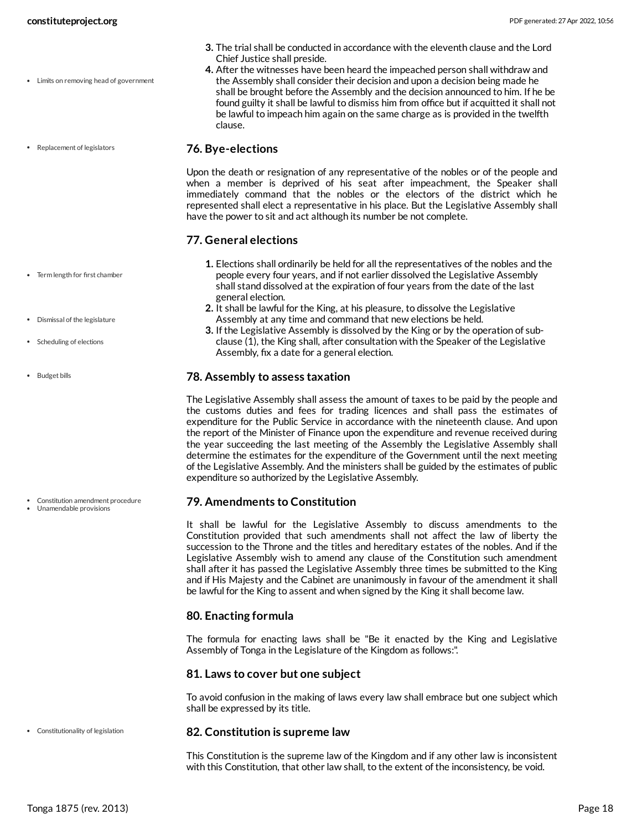• Replacement of legislators

Term length for first chamber

Dismissal of the legislature

Scheduling of elections

#### <span id="page-17-4"></span>**76. Bye-elections**

clause.

Chief Justice shall preside.

Upon the death or resignation of any representative of the nobles or of the people and when a member is deprived of his seat after impeachment, the Speaker shall immediately command that the nobles or the electors of the district which he represented shall elect a representative in his place. But the Legislative Assembly shall have the power to sit and act although its number be not complete.

**3.** The trial shall be conducted in accordance with the eleventh clause and the Lord

**4.** After the witnesses have been heard the impeached person shall withdraw and the Assembly shall consider their decision and upon a decision being made he shall be brought before the Assembly and the decision announced to him. If he be found guilty it shall be lawful to dismiss him from office but if acquitted it shall not be lawful to impeach him again on the same charge as is provided in the twelfth

#### <span id="page-17-3"></span>**77. General elections**

- **1.** Elections shall ordinarily be held for all the representatives of the nobles and the people every four years, and if not earlier dissolved the Legislative Assembly shall stand dissolved at the expiration of four years from the date of the last general election.
- **2.** It shall be lawful for the King, at his pleasure, to dissolve the Legislative Assembly at any time and command that new elections be held.
- **3.** If the Legislative Assembly is dissolved by the King or by the operation of subclause (1), the King shall, after consultation with the Speaker of the Legislative Assembly, fix a date for a general election.

#### <span id="page-17-0"></span>**78. Assembly to assess taxation**

The Legislative Assembly shall assess the amount of taxes to be paid by the people and the customs duties and fees for trading licences and shall pass the estimates of expenditure for the Public Service in accordance with the nineteenth clause. And upon the report of the Minister of Finance upon the expenditure and revenue received during the year succeeding the last meeting of the Assembly the Legislative Assembly shall determine the estimates for the expenditure of the Government until the next meeting of the Legislative Assembly. And the ministers shall be guided by the estimates of public expenditure so authorized by the Legislative Assembly.

#### <span id="page-17-1"></span>**79. Amendments to Constitution**

It shall be lawful for the Legislative Assembly to discuss amendments to the Constitution provided that such amendments shall not affect the law of liberty the succession to the Throne and the titles and hereditary estates of the nobles. And if the Legislative Assembly wish to amend any clause of the Constitution such amendment shall after it has passed the Legislative Assembly three times be submitted to the King and if His Majesty and the Cabinet are unanimously in favour of the amendment it shall be lawful for the King to assent and when signed by the King it shall become law.

#### **80. Enacting formula**

The formula for enacting laws shall be "Be it enacted by the King and Legislative Assembly of Tonga in the Legislature of the Kingdom as follows:".

#### **81. Laws to cover but one subject**

To avoid confusion in the making of laws every law shall embrace but one subject which shall be expressed by its title.

#### <span id="page-17-2"></span>**82. Constitution is supreme law**

This Constitution is the supreme law of the Kingdom and if any other law is inconsistent with this Constitution, that other law shall, to the extent of the inconsistency, be void.

#### • Budget bills

Constitution amendment procedure

Unamendable provisions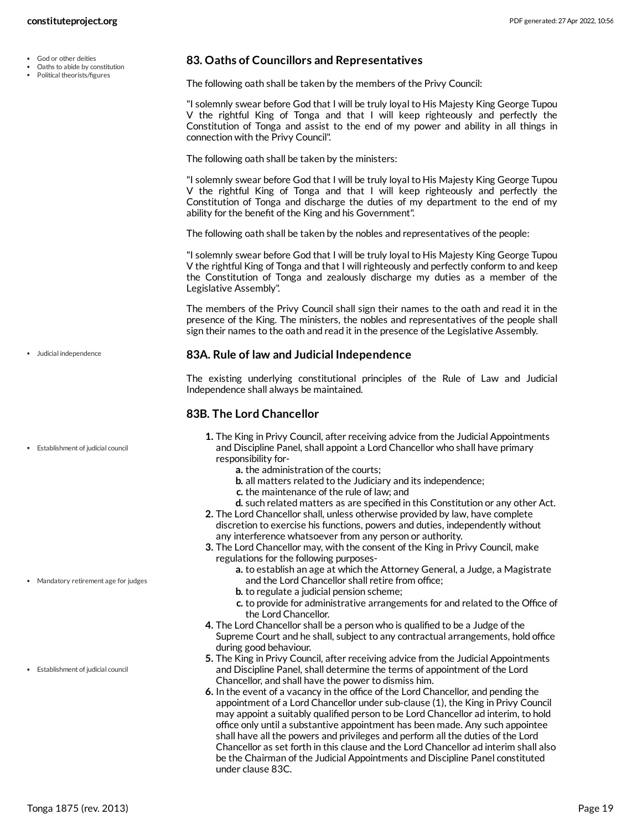- God or other deities
- Oaths to abide by constitution

#### <span id="page-18-1"></span>**83. Oaths of Councillors and Representatives**

The following oath shall be taken by the members of the Privy Council:

"I solemnly swear before God that I will be truly loyal to His Majesty King George Tupou V the rightful King of Tonga and that I will keep righteously and perfectly the Constitution of Tonga and assist to the end of my power and ability in all things in connection with the Privy Council".

The following oath shall be taken by the ministers:

"I solemnly swear before God that I will be truly loyal to His Majesty King George Tupou V the rightful King of Tonga and that I will keep righteously and perfectly the Constitution of Tonga and discharge the duties of my department to the end of my ability for the benefit of the King and his Government".

The following oath shall be taken by the nobles and representatives of the people:

"I solemnly swear before God that I will be truly loyal to His Majesty King George Tupou V the rightful King of Tonga and that I will righteously and perfectly conform to and keep the Constitution of Tonga and zealously discharge my duties as a member of the Legislative Assembly".

The members of the Privy Council shall sign their names to the oath and read it in the presence of the King. The ministers, the nobles and representatives of the people shall sign their names to the oath and read it in the presence of the Legislative Assembly.

#### <span id="page-18-2"></span>**83A. Rule of law and Judicial Independence**

The existing underlying constitutional principles of the Rule of Law and Judicial Independence shall always be maintained.

#### <span id="page-18-0"></span>**83B. The Lord Chancellor**

- **1.** The King in Privy Council, after receiving advice from the Judicial Appointments and Discipline Panel, shall appoint a Lord Chancellor who shall have primary responsibility for
	- **a.** the administration of the courts;
	- **b.** all matters related to the Judiciary and its independence;
	- **c.** the maintenance of the rule of law; and
	- **d.** such related matters as are specified in this Constitution or any other Act.
- **2.** The Lord Chancellor shall, unless otherwise provided by law, have complete discretion to exercise his functions, powers and duties, independently without any interference whatsoever from any person or authority.
- **3.** The Lord Chancellor may, with the consent of the King in Privy Council, make regulations for the following purposes
	- **a.** to establish an age at which the Attorney General, a Judge, a Magistrate and the Lord Chancellor shall retire from office;
	- **b.** to regulate a judicial pension scheme;
	- **c.** to provide for administrative arrangements for and related to the Office of the Lord Chancellor.
- **4.** The Lord Chancellor shall be a person who is qualified to be a Judge of the Supreme Court and he shall, subject to any contractual arrangements, hold office during good behaviour.
- **5.** The King in Privy Council, after receiving advice from the Judicial Appointments and Discipline Panel, shall determine the terms of appointment of the Lord Chancellor, and shall have the power to dismiss him.
- **6.** In the event of a vacancy in the office of the Lord Chancellor, and pending the appointment of a Lord Chancellor under sub-clause (1), the King in Privy Council may appoint a suitably qualified person to be Lord Chancellor ad interim, to hold office only until a substantive appointment has been made. Any such appointee shall have all the powers and privileges and perform all the duties of the Lord Chancellor as set forth in this clause and the Lord Chancellor ad interim shall also be the Chairman of the Judicial Appointments and Discipline Panel constituted under clause 83C.

Establishment of judicial council

Judicial independence

- Mandatory retirement age for judges
- Establishment of judicial council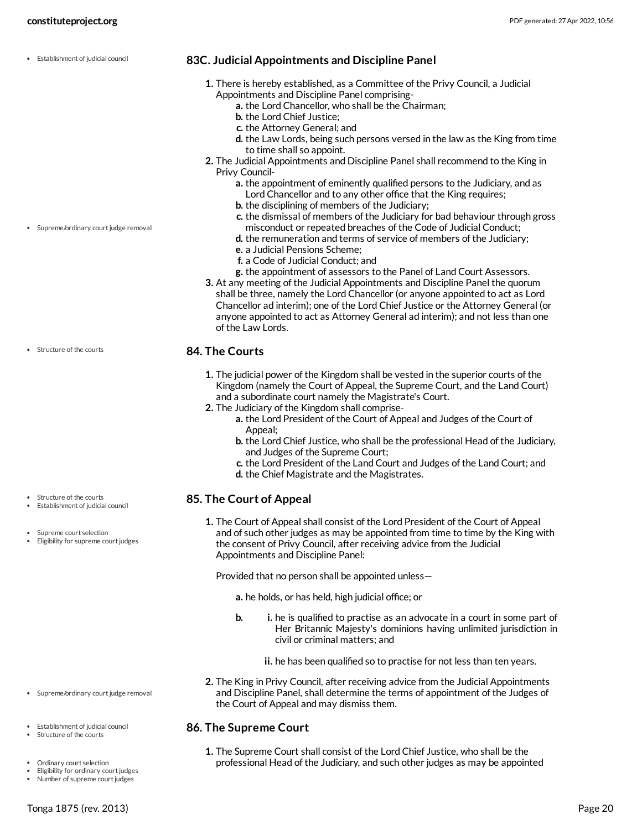Establishment of judicial council

• Supreme/ordinary court judge removal

- Structure of the courts
- <span id="page-19-3"></span>**84. The Courts**

of the Law Lords.

- **1.** The judicial power of the Kingdom shall be vested in the superior courts of the Kingdom (namely the Court of Appeal, the Supreme Court, and the Land Court) and a subordinate court namely the Magistrate's Court.
- **2.** The Judiciary of the Kingdom shall comprise-

<span id="page-19-2"></span>**83C. Judicial Appointments and Discipline Panel**

Appointments and Discipline Panel comprising-

**b.** the Lord Chief Justice; **c.** the Attorney General; and

Privy Council-

to time shall so appoint.

**e.** a Judicial Pensions Scheme; **f.** a Code of Judicial Conduct; and

**a.** the Lord Chancellor, who shall be the Chairman;

**b.** the disciplining of members of the Judiciary;

**1.** There is hereby established, as a Committee of the Privy Council, a Judicial

**2.** The Judicial Appointments and Discipline Panel shall recommend to the King in

**d.** the Law Lords, being such persons versed in the law as the King from time

**a.** the appointment of eminently qualified persons to the Judiciary, and as Lord Chancellor and to any other office that the King requires;

**g.** the appointment of assessors to the Panel of Land Court Assessors. **3.** At any meeting of the Judicial Appointments and Discipline Panel the quorum shall be three, namely the Lord Chancellor (or anyone appointed to act as Lord Chancellor ad interim); one of the Lord Chief Justice or the Attorney General (or anyone appointed to act as Attorney General ad interim); and not less than one

**c.** the dismissal of members of the Judiciary for bad behaviour through gross misconduct or repeated breaches of the Code of Judicial Conduct; **d.** the remuneration and terms of service of members of the Judiciary;

- **a.** the Lord President of the Court of Appeal and Judges of the Court of Appeal;
- **b.** the Lord Chief Justice, who shall be the professional Head of the Judiciary, and Judges of the Supreme Court;
- **c.** the Lord President of the Land Court and Judges of the Land Court; and
- **d.** the Chief Magistrate and the Magistrates.

#### <span id="page-19-1"></span>**85. The Court of Appeal**

**1.** The Court of Appeal shall consist of the Lord President of the Court of Appeal and of such other judges as may be appointed from time to time by the King with the consent of Privy Council, after receiving advice from the Judicial Appointments and Discipline Panel:

Provided that no person shall be appointed unless—

**a.** he holds, or has held, high judicial office; or

- **b. i.** he is qualified to practise as an advocate in a court in some part of Her Britannic Majesty's dominions having unlimited jurisdiction in civil or criminal matters; and
	- **ii.** he has been qualified so to practise for not less than ten years.
- **2.** The King in Privy Council, after receiving advice from the Judicial Appointments and Discipline Panel, shall determine the terms of appointment of the Judges of the Court of Appeal and may dismiss them.

#### <span id="page-19-0"></span>**86. The Supreme Court**

**1.** The Supreme Court shall consist of the Lord Chief Justice, who shall be the professional Head of the Judiciary, and such other judges as may be appointed

• Eligibility for supreme court judges

Structure of the courts Establishment of judicial council

Supreme court selection

- Supreme/ordinary court judge removal
- Establishment of judicial council
- Structure of the courts
- Ordinary court selection
- Eligibility for ordinary court judges
- Number of supreme court judges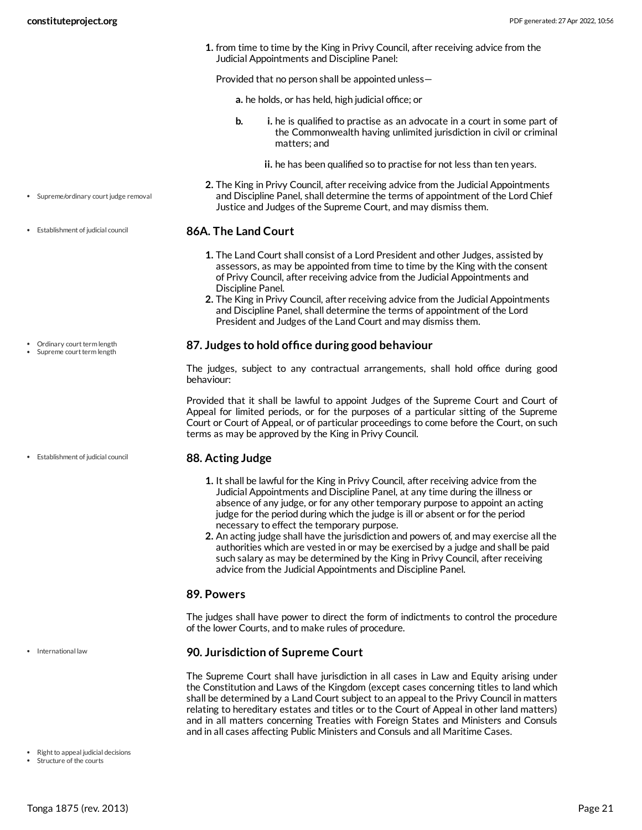**1.** from time to time by the King in Privy Council, after receiving advice from the Judicial Appointments and Discipline Panel:

Provided that no person shall be appointed unless—

**a.** he holds, or has held, high judicial office; or

- **b. i.** he is qualified to practise as an advocate in a court in some part of the Commonwealth having unlimited jurisdiction in civil or criminal matters; and
	- **ii.** he has been qualified so to practise for not less than ten years.
- **2.** The King in Privy Council, after receiving advice from the Judicial Appointments and Discipline Panel, shall determine the terms of appointment of the Lord Chief Justice and Judges of the Supreme Court, and may dismiss them.

#### <span id="page-20-0"></span>**86A. The Land Court**

- **1.** The Land Court shall consist of a Lord President and other Judges, assisted by assessors, as may be appointed from time to time by the King with the consent of Privy Council, after receiving advice from the Judicial Appointments and Discipline Panel.
- **2.** The King in Privy Council, after receiving advice from the Judicial Appointments and Discipline Panel, shall determine the terms of appointment of the Lord President and Judges of the Land Court and may dismiss them.

#### <span id="page-20-2"></span>**87. Judges to hold office during good behaviour**

The judges, subject to any contractual arrangements, shall hold office during good behaviour:

Provided that it shall be lawful to appoint Judges of the Supreme Court and Court of Appeal for limited periods, or for the purposes of a particular sitting of the Supreme Court or Court of Appeal, or of particular proceedings to come before the Court, on such terms as may be approved by the King in Privy Council.

#### **88. Acting Judge**

- **1.** It shall be lawful for the King in Privy Council, after receiving advice from the Judicial Appointments and Discipline Panel, at any time during the illness or absence of any judge, or for any other temporary purpose to appoint an acting judge for the period during which the judge is ill or absent or for the period necessary to effect the temporary purpose.
- **2.** An acting judge shall have the jurisdiction and powers of, and may exercise all the authorities which are vested in or may be exercised by a judge and shall be paid such salary as may be determined by the King in Privy Council, after receiving advice from the Judicial Appointments and Discipline Panel.

#### **89. Powers**

The judges shall have power to direct the form of indictments to control the procedure of the lower Courts, and to make rules of procedure.

#### <span id="page-20-1"></span>**90. Jurisdiction of Supreme Court**

<span id="page-20-3"></span>The Supreme Court shall have jurisdiction in all cases in Law and Equity arising under the Constitution and Laws of the Kingdom (except cases concerning titles to land which shall be determined by a Land Court subject to an appeal to the Privy Council in matters relating to hereditary estates and titles or to the Court of Appeal in other land matters) and in all matters concerning Treaties with Foreign States and Ministers and Consuls and in all cases affecting Public Ministers and Consuls and all Maritime Cases.

• Supreme/ordinary court judge removal

Establishment of judicial council

- Ordinary court term length
- Supreme court term length

Establishment of judicial council

• International law

Right to appeal judicial decisions

Structure of the courts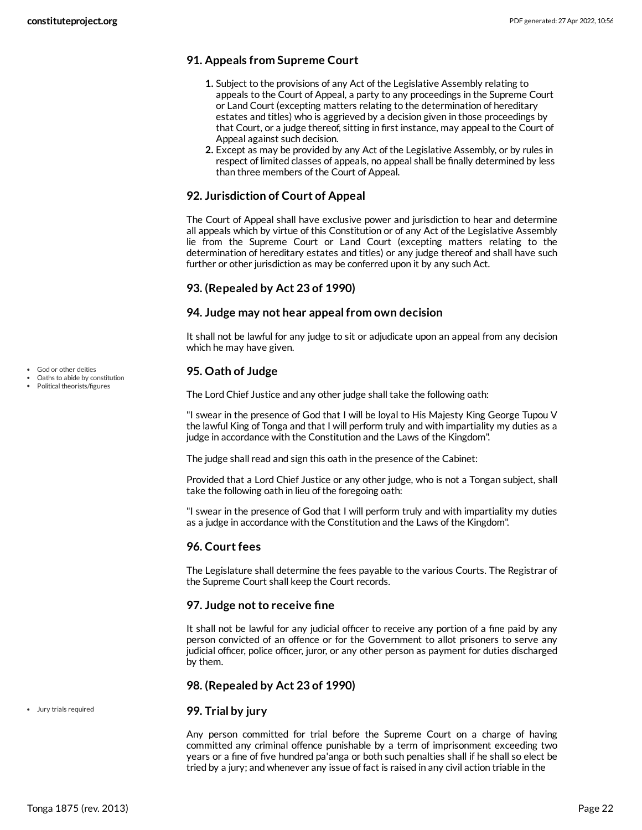### **91. Appeals from Supreme Court**

- **1.** Subject to the provisions of any Act of the Legislative Assembly relating to appeals to the Court of Appeal, a party to any proceedings in the Supreme Court or Land Court (excepting matters relating to the determination of hereditary estates and titles) who is aggrieved by a decision given in those proceedings by that Court, or a judge thereof, sitting in first instance, may appeal to the Court of Appeal against such decision.
- **2.** Except as may be provided by any Act of the Legislative Assembly, or by rules in respect of limited classes of appeals, no appeal shall be finally determined by less than three members of the Court of Appeal.

#### **92. Jurisdiction of Court of Appeal**

The Court of Appeal shall have exclusive power and jurisdiction to hear and determine all appeals which by virtue of this Constitution or of any Act of the Legislative Assembly lie from the Supreme Court or Land Court (excepting matters relating to the determination of hereditary estates and titles) or any judge thereof and shall have such further or other jurisdiction as may be conferred upon it by any such Act.

#### **93. (Repealed by Act 23 of 1990)**

#### **94. Judge may not hear appeal from own decision**

It shall not be lawful for any judge to sit or adjudicate upon an appeal from any decision which he may have given.

#### <span id="page-21-0"></span>**95. Oath of Judge**

The Lord Chief Justice and any other judge shall take the following oath:

"I swear in the presence of God that I will be loyal to His Majesty King George Tupou V the lawful King of Tonga and that I will perform truly and with impartiality my duties as a judge in accordance with the Constitution and the Laws of the Kingdom".

The judge shall read and sign this oath in the presence of the Cabinet:

Provided that a Lord Chief Justice or any other judge, who is not a Tongan subject, shall take the following oath in lieu of the foregoing oath:

"I swear in the presence of God that I will perform truly and with impartiality my duties as a judge in accordance with the Constitution and the Laws of the Kingdom".

#### **96. Courtfees**

The Legislature shall determine the fees payable to the various Courts. The Registrar of the Supreme Court shall keep the Court records.

#### **97. Judge not to receive fine**

It shall not be lawful for any judicial officer to receive any portion of a fine paid by any person convicted of an offence or for the Government to allot prisoners to serve any judicial officer, police officer, juror, or any other person as payment for duties discharged by them.

#### **98. (Repealed by Act 23 of 1990)**

• Jury trials required

#### <span id="page-21-1"></span>**99. Trial by jury**

Any person committed for trial before the Supreme Court on a charge of having committed any criminal offence punishable by a term of imprisonment exceeding two years or a fine of five hundred pa'anga or both such penalties shall if he shall so elect be tried by a jury; and whenever any issue of fact is raised in any civil action triable in the

- 
- God or other deities Oaths to abide by constitution Political theorists/figures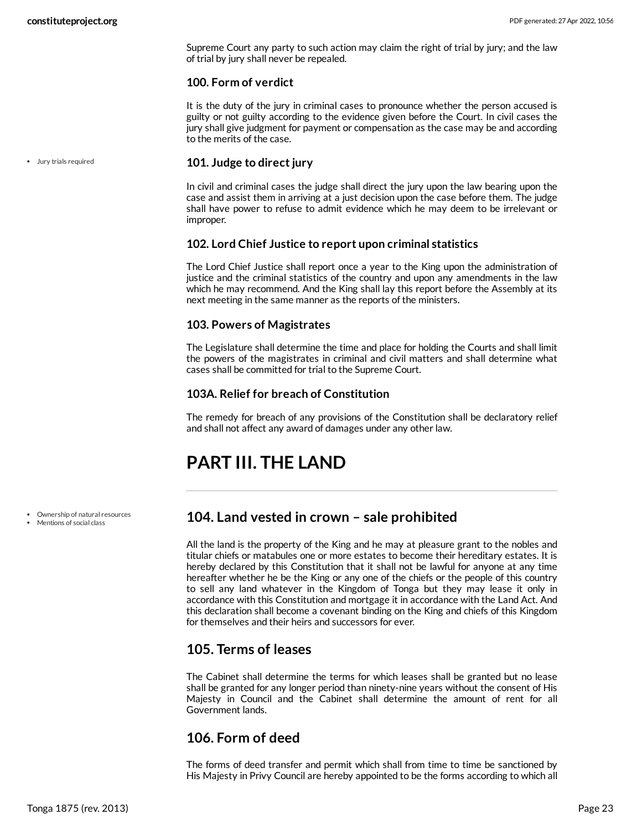Jury trials required

Supreme Court any party to such action may claim the right of trial by jury; and the law of trial by jury shall never be repealed.

#### **100. Form of verdict**

It is the duty of the jury in criminal cases to pronounce whether the person accused is guilty or not guilty according to the evidence given before the Court. In civil cases the jury shall give judgment for payment or compensation as the case may be and according to the merits of the case.

#### <span id="page-22-4"></span>**101.** Judge to direct jury

In civil and criminal cases the judge shall direct the jury upon the law bearing upon the case and assist them in arriving at a just decision upon the case before them. The judge shall have power to refuse to admit evidence which he may deem to be irrelevant or improper.

#### **102. Lord Chief Justice to report upon criminal statistics**

The Lord Chief Justice shall report once a year to the King upon the administration of justice and the criminal statistics of the country and upon any amendments in the law which he may recommend. And the King shall lay this report before the Assembly at its next meeting in the same manner as the reports of the ministers.

#### **103. Powers of Magistrates**

The Legislature shall determine the time and place for holding the Courts and shall limit the powers of the magistrates in criminal and civil matters and shall determine what cases shall be committed for trial to the Supreme Court.

#### **103A. Relief for breach of Constitution**

The remedy for breach of any provisions of the Constitution shall be declaratory relief and shall not affect any award of damages under any other law.

# <span id="page-22-0"></span>**PART III. THE LAND**

Ownership of natural resources Mentions of social class

### <span id="page-22-1"></span>**104. Land vested in crown – sale prohibited**

All the land is the property of the King and he may at pleasure grant to the nobles and titular chiefs or matabules one or more estates to become their hereditary estates. It is hereby declared by this Constitution that it shall not be lawful for anyone at any time hereafter whether he be the King or any one of the chiefs or the people of this country to sell any land whatever in the Kingdom of Tonga but they may lease it only in accordance with this Constitution and mortgage it in accordance with the Land Act. And this declaration shall become a covenant binding on the King and chiefs of this Kingdom for themselves and their heirs and successors for ever.

# <span id="page-22-2"></span>**105. Terms of leases**

The Cabinet shall determine the terms for which leases shall be granted but no lease shall be granted for any longer period than ninety-nine years without the consent of His Majesty in Council and the Cabinet shall determine the amount of rent for all Government lands.

### <span id="page-22-3"></span>**106. Form of deed**

The forms of deed transfer and permit which shall from time to time be sanctioned by His Majesty in Privy Council are hereby appointed to be the forms according to which all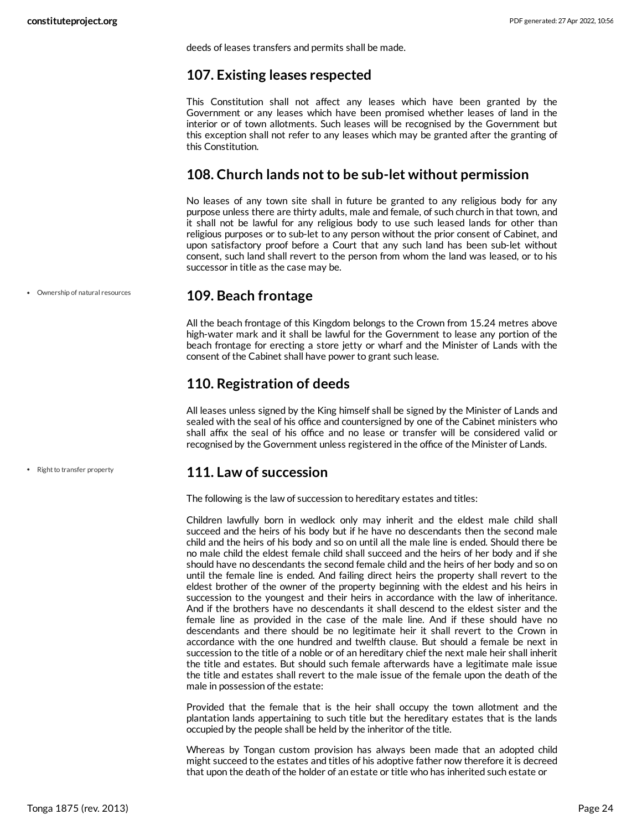deeds of leases transfers and permits shall be made.

# <span id="page-23-0"></span>**107. Existing leases respected**

This Constitution shall not affect any leases which have been granted by the Government or any leases which have been promised whether leases of land in the interior or of town allotments. Such leases will be recognised by the Government but this exception shall not refer to any leases which may be granted after the granting of this Constitution.

# <span id="page-23-1"></span>**108. Church lands not to be sub-let without permission**

No leases of any town site shall in future be granted to any religious body for any purpose unless there are thirty adults, male and female, of such church in that town, and it shall not be lawful for any religious body to use such leased lands for other than religious purposes or to sub-let to any person without the prior consent of Cabinet, and upon satisfactory proof before a Court that any such land has been sub-let without consent, such land shall revert to the person from whom the land was leased, or to his successor in title as the case may be.

# <span id="page-23-2"></span>**109. Beach frontage**

All the beach frontage of this Kingdom belongs to the Crown from 15.24 metres above high-water mark and it shall be lawful for the Government to lease any portion of the beach frontage for erecting a store jetty or wharf and the Minister of Lands with the consent of the Cabinet shall have power to grant such lease.

# <span id="page-23-3"></span>**110. Registration of deeds**

All leases unless signed by the King himself shall be signed by the Minister of Lands and sealed with the seal of his office and countersigned by one of the Cabinet ministers who shall affix the seal of his office and no lease or transfer will be considered valid or recognised by the Government unless registered in the office of the Minister of Lands.

# <span id="page-23-4"></span>**111. Law of succession**

The following is the law of succession to hereditary estates and titles:

Children lawfully born in wedlock only may inherit and the eldest male child shall succeed and the heirs of his body but if he have no descendants then the second male child and the heirs of his body and so on until all the male line is ended. Should there be no male child the eldest female child shall succeed and the heirs of her body and if she should have no descendants the second female child and the heirs of her body and so on until the female line is ended. And failing direct heirs the property shall revert to the eldest brother of the owner of the property beginning with the eldest and his heirs in succession to the youngest and their heirs in accordance with the law of inheritance. And if the brothers have no descendants it shall descend to the eldest sister and the female line as provided in the case of the male line. And if these should have no descendants and there should be no legitimate heir it shall revert to the Crown in accordance with the one hundred and twelfth clause. But should a female be next in succession to the title of a noble or of an hereditary chief the next male heir shall inherit the title and estates. But should such female afterwards have a legitimate male issue the title and estates shall revert to the male issue of the female upon the death of the male in possession of the estate:

Provided that the female that is the heir shall occupy the town allotment and the plantation lands appertaining to such title but the hereditary estates that is the lands occupied by the people shall be held by the inheritor of the title.

Whereas by Tongan custom provision has always been made that an adopted child might succeed to the estates and titles of his adoptive father now therefore it is decreed that upon the death of the holder of an estate or title who has inherited such estate or

Ownership of natural resources

• Right to transfer property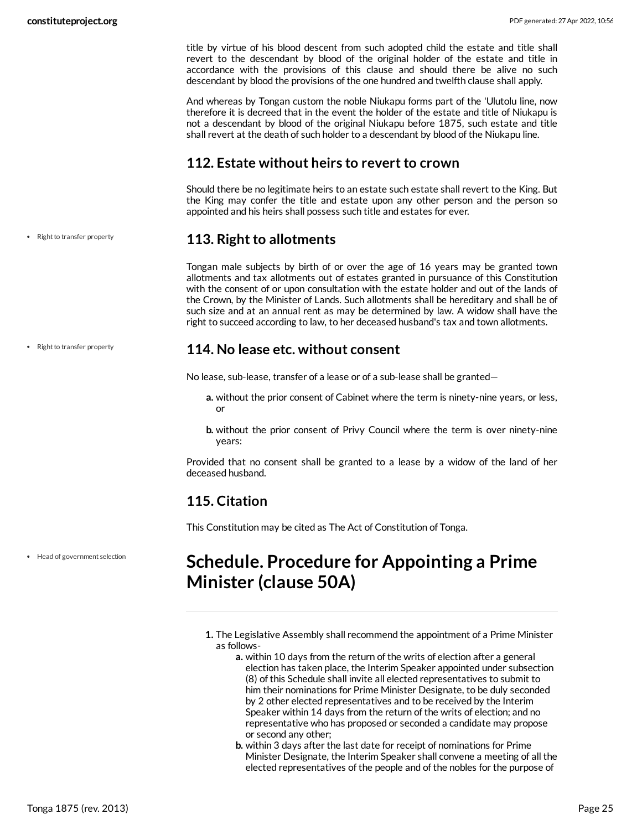• Right to transfer property

• Right to transfer property

title by virtue of his blood descent from such adopted child the estate and title shall revert to the descendant by blood of the original holder of the estate and title in accordance with the provisions of this clause and should there be alive no such descendant by blood the provisions of the one hundred and twelfth clause shall apply.

And whereas by Tongan custom the noble Niukapu forms part of the 'Ulutolu line, now therefore it is decreed that in the event the holder of the estate and title of Niukapu is not a descendant by blood of the original Niukapu before 1875, such estate and title shall revert at the death of such holder to a descendant by blood of the Niukapu line.

# <span id="page-24-0"></span>**112. Estate without heirs to revert to crown**

Should there be no legitimate heirs to an estate such estate shall revert to the King. But the King may confer the title and estate upon any other person and the person so appointed and his heirs shall possess such title and estates for ever.

### <span id="page-24-1"></span>**113. Right to allotments**

Tongan male subjects by birth of or over the age of 16 years may be granted town allotments and tax allotments out of estates granted in pursuance of this Constitution with the consent of or upon consultation with the estate holder and out of the lands of the Crown, by the Minister of Lands. Such allotments shall be hereditary and shall be of such size and at an annual rent as may be determined by law. A widow shall have the right to succeed according to law, to her deceased husband's tax and town allotments.

### **114. No lease etc. without consent**

<span id="page-24-2"></span>No lease, sub-lease, transfer of a lease or of a sub-lease shall be granted—

- **a.** without the prior consent of Cabinet where the term is ninety-nine years, or less, or
- **b.** without the prior consent of Privy Council where the term is over ninety-nine years:

Provided that no consent shall be granted to a lease by a widow of the land of her deceased husband.

# <span id="page-24-3"></span>**115. Citation**

This Constitution may be cited as The Act of Constitution of Tonga.

Head of government selection

# <span id="page-24-4"></span>**Schedule. Procedure for Appointing a Prime Minister (clause 50A)**

- **1.** The Legislative Assembly shall recommend the appointment of a Prime Minister as follows
	- **a.** within 10 days from the return of the writs of election after a general election has taken place, the Interim Speaker appointed under subsection (8) of this Schedule shall invite all elected representatives to submit to him their nominations for Prime Minister Designate, to be duly seconded by 2 other elected representatives and to be received by the Interim Speaker within 14 days from the return of the writs of election; and no representative who has proposed or seconded a candidate may propose or second any other;
	- **b.** within 3 days after the last date for receipt of nominations for Prime Minister Designate, the Interim Speaker shall convene a meeting of all the elected representatives of the people and of the nobles for the purpose of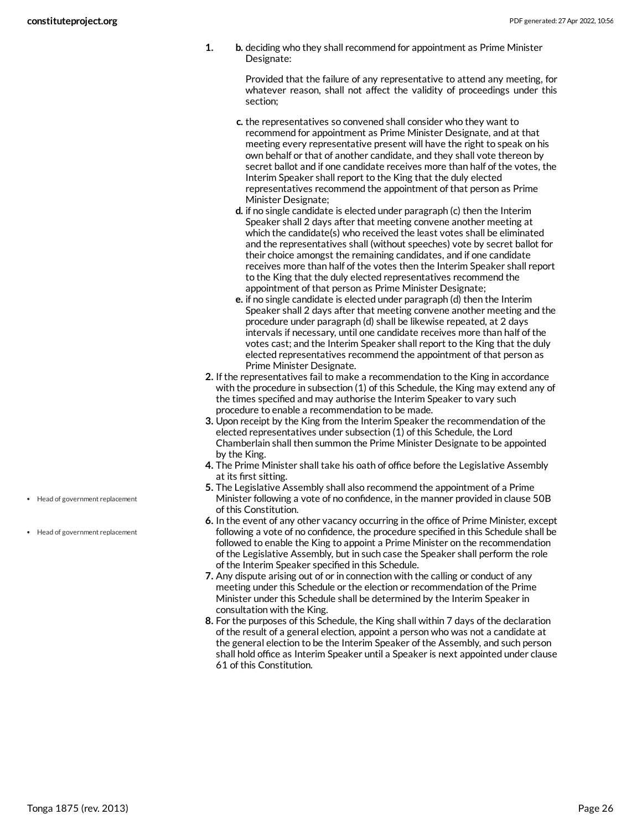**1. b.** deciding who they shall recommend for appointment as Prime Minister Designate:

> Provided that the failure of any representative to attend any meeting, for whatever reason, shall not affect the validity of proceedings under this section;

- **c.** the representatives so convened shall consider who they want to recommend for appointment as Prime Minister Designate, and at that meeting every representative present will have the right to speak on his own behalf or that of another candidate, and they shall vote thereon by secret ballot and if one candidate receives more than half of the votes, the Interim Speaker shall report to the King that the duly elected representatives recommend the appointment of that person as Prime Minister Designate;
- **d.** if no single candidate is elected under paragraph (c) then the Interim Speaker shall 2 days after that meeting convene another meeting at which the candidate(s) who received the least votes shall be eliminated and the representatives shall (without speeches) vote by secret ballot for their choice amongst the remaining candidates, and if one candidate receives more than half of the votes then the Interim Speaker shall report to the King that the duly elected representatives recommend the appointment of that person as Prime Minister Designate;
- **e.** if no single candidate is elected under paragraph (d) then the Interim Speaker shall 2 days after that meeting convene another meeting and the procedure under paragraph (d) shall be likewise repeated, at 2 days intervals if necessary, until one candidate receives more than half of the votes cast; and the Interim Speaker shall report to the King that the duly elected representatives recommend the appointment of that person as Prime Minister Designate.
- **2.** If the representatives fail to make a recommendation to the King in accordance with the procedure in subsection (1) of this Schedule, the King may extend any of the times specified and may authorise the Interim Speaker to vary such procedure to enable a recommendation to be made.
- **3.** Upon receipt by the King from the Interim Speaker the recommendation of the elected representatives under subsection (1) of this Schedule, the Lord Chamberlain shall then summon the Prime Minister Designate to be appointed by the King.
- **4.** The Prime Minister shall take his oath of office before the Legislative Assembly at its first sitting.
- **5.** The Legislative Assembly shall also recommend the appointment of a Prime Minister following a vote of no confidence, in the manner provided in clause 50B of this Constitution.
- **6.** In the event of any other vacancy occurring in the office of Prime Minister, except following a vote of no confidence, the procedure specified in this Schedule shall be followed to enable the King to appoint a Prime Minister on the recommendation of the Legislative Assembly, but in such case the Speaker shall perform the role of the Interim Speaker specified in this Schedule.
- **7.** Any dispute arising out of or in connection with the calling or conduct of any meeting under this Schedule or the election or recommendation of the Prime Minister under this Schedule shall be determined by the Interim Speaker in consultation with the King.
- **8.** For the purposes of this Schedule, the King shall within 7 days of the declaration of the result of a general election, appoint a person who was not a candidate at the general election to be the Interim Speaker of the Assembly, and such person shall hold office as Interim Speaker until a Speaker is next appointed under clause 61 of this Constitution.
- Head of government replacement
- Head of government replacement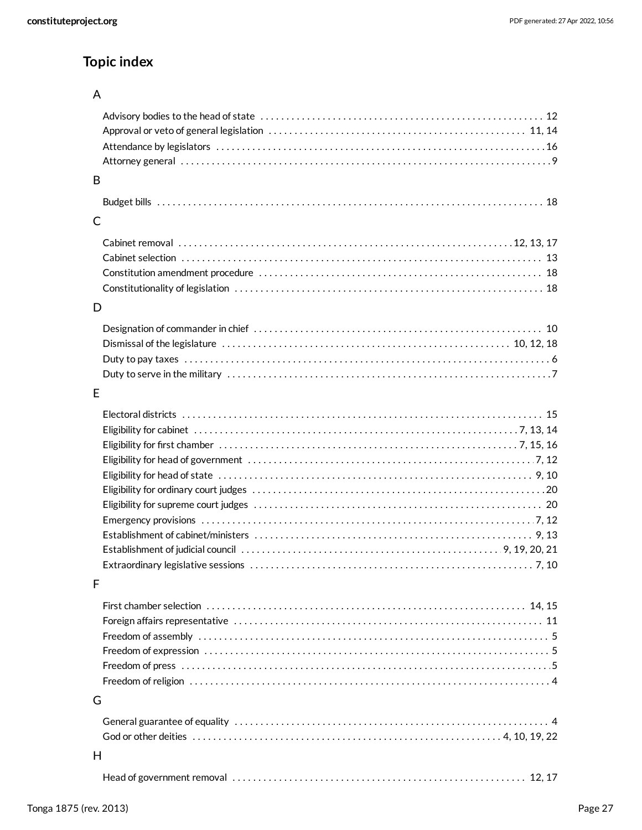# **Topic index**

| B            |  |
|--------------|--|
|              |  |
| $\mathsf{C}$ |  |
|              |  |
|              |  |
|              |  |
| D            |  |
|              |  |
|              |  |
|              |  |
|              |  |
| E            |  |
|              |  |
|              |  |
|              |  |
|              |  |
|              |  |
|              |  |
|              |  |
|              |  |
|              |  |
|              |  |
| F            |  |
|              |  |
|              |  |
|              |  |
|              |  |
|              |  |
|              |  |
| G            |  |
|              |  |
| H            |  |
|              |  |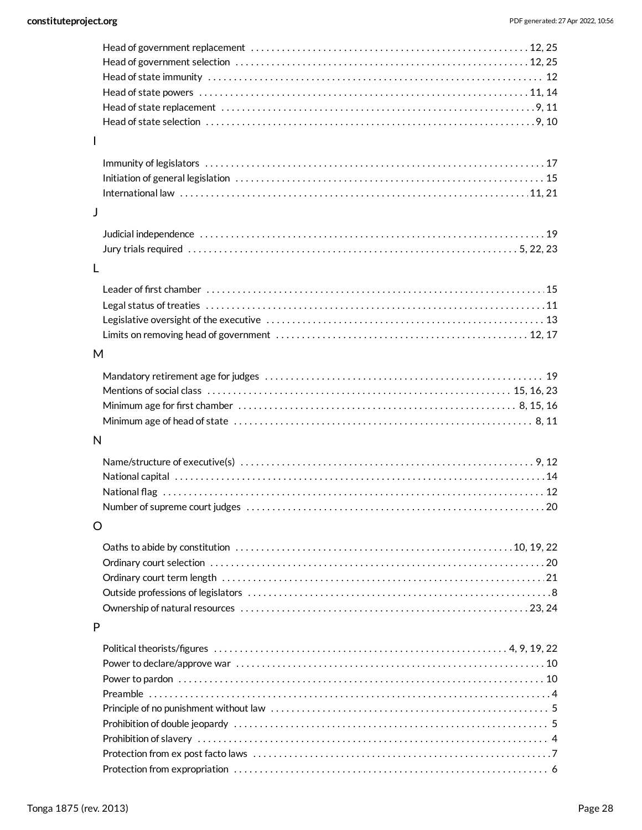| I.           |                                                                                                                   |
|--------------|-------------------------------------------------------------------------------------------------------------------|
|              |                                                                                                                   |
|              |                                                                                                                   |
|              |                                                                                                                   |
| J            |                                                                                                                   |
|              |                                                                                                                   |
|              |                                                                                                                   |
|              |                                                                                                                   |
| L            |                                                                                                                   |
|              |                                                                                                                   |
|              |                                                                                                                   |
|              |                                                                                                                   |
|              |                                                                                                                   |
| M            |                                                                                                                   |
|              |                                                                                                                   |
|              |                                                                                                                   |
|              |                                                                                                                   |
|              | Minimum age of head of state $\dots\dots\dots\dots\dots\dots\dots\dots\dots\dots\dots\dots\dots\dots\dots\dots$ . |
|              |                                                                                                                   |
| $\mathsf{N}$ |                                                                                                                   |
|              |                                                                                                                   |
|              |                                                                                                                   |
|              |                                                                                                                   |
|              |                                                                                                                   |
| O            |                                                                                                                   |
|              |                                                                                                                   |
|              |                                                                                                                   |
|              |                                                                                                                   |
|              |                                                                                                                   |
|              |                                                                                                                   |
|              |                                                                                                                   |
| P            |                                                                                                                   |
|              |                                                                                                                   |
|              |                                                                                                                   |
|              |                                                                                                                   |
|              |                                                                                                                   |
|              |                                                                                                                   |
|              |                                                                                                                   |
|              |                                                                                                                   |
|              |                                                                                                                   |
|              |                                                                                                                   |